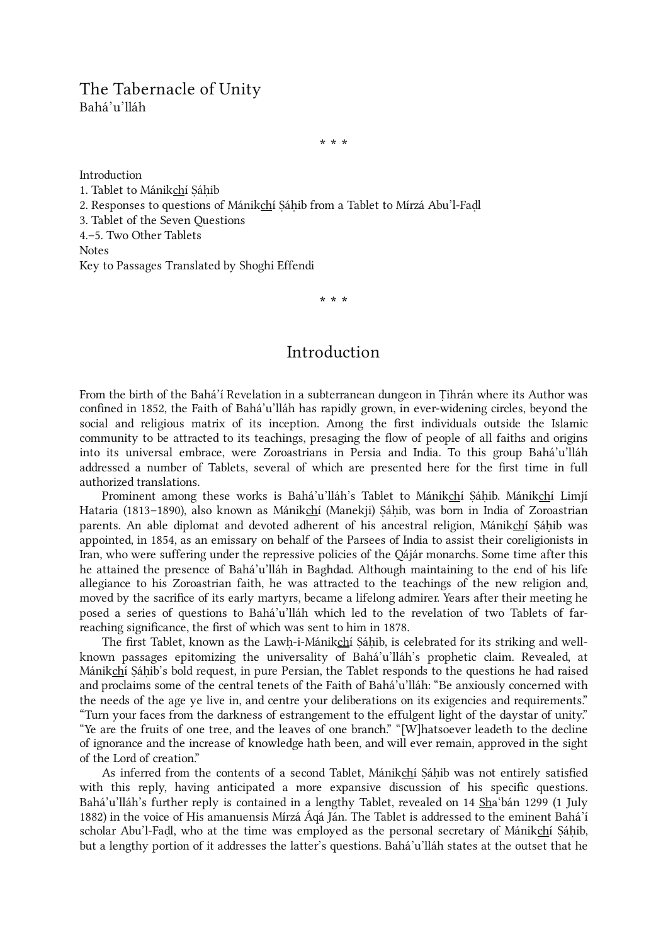## The Tabernacle of Unity Bahá'u'lláh

\* \* \*

[Introduction](#page-0-0) 1. Tablet to [Mánikchí](#page-2-0) Sáhib 2. [Responses](#page-5-0) to questions of Mánikchí Sáhib from a Tablet to Mírzá Abu'l-Fadl 3. Tablet of the Seven [Questions](#page-15-0) 4.–5. Two Other [Tablets](#page-17-0) [Notes](#page-21-0) Key to Passages [Translated](#page-22-0) by Shoghi Effendi

\* \* \*

## <span id="page-0-0"></span>Introduction

From the birth of the Bahá'í Revelation in a subterranean dungeon in Ṭihrán where its Author was confined in 1852, the Faith of Bahá'u'lláh has rapidly grown, in ever-widening circles, beyond the social and religious matrix of its inception. Among the first individuals outside the Islamic community to be attracted to its teachings, presaging the flow of people of all faiths and origins into its universal embrace, were Zoroastrians in Persia and India. To this group Bahá'u'lláh addressed a number of Tablets, several of which are presented here for the first time in full authorized translations.

Prominent among these works is Bahá'u'lláh's Tablet to Mánikchí Şáḥib. Mánikchí Limjí Hataria (1813–1890), also known as Mánikchí (Manekji) Sáhib, was born in India of Zoroastrian parents. An able diplomat and devoted adherent of his ancestral religion, Mánikchí Sáhib was appointed, in 1854, as an emissary on behalf of the Parsees of India to assist their coreligionists in Iran, who were suffering under the repressive policies of the Qájár monarchs. Some time after this he attained the presence of Bahá'u'lláh in Baghdad. Although maintaining to the end of his life allegiance to his Zoroastrian faith, he was attracted to the teachings of the new religion and, moved by the sacrifice of its early martyrs, became a lifelong admirer. Years after their meeting he posed a series of questions to Bahá'u'lláh which led to the revelation of two Tablets of farreaching significance, the first of which was sent to him in 1878.

The first Tablet, known as the Lawh-i-Mánikchí Sáhib, is celebrated for its striking and wellknown passages epitomizing the universality of Bahá'u'lláh's prophetic claim. Revealed, at Mánikchí Sáhib's bold request, in pure Persian, the Tablet responds to the questions he had raised and proclaims some of the central tenets of the Faith of Bahá'u'lláh: "Be anxiously concerned with the needs of the age ye live in, and centre your deliberations on its exigencies and requirements." "Turn your faces from the darkness of estrangement to the effulgent light of the daystar of unity." "Ye are the fruits of one tree, and the leaves of one branch." "[W]hatsoever leadeth to the decline of ignorance and the increase of knowledge hath been, and will ever remain, approved in the sight of the Lord of creation."

As inferred from the contents of a second Tablet, Mánikchí Sáhib was not entirely satisfied with this reply, having anticipated a more expansive discussion of his specific questions. Bahá'u'lláh's further reply is contained in a lengthy Tablet, revealed on 14 Sha'bán 1299 (1 July 1882) in the voice of His amanuensis Mírzá Áqá Ján. The Tablet is addressed to the eminent Bahá'í scholar Abu'l-Fadl, who at the time was employed as the personal secretary of Mánikchí Sáhib, but a lengthy portion of it addresses the latter's questions. Bahá'u'lláh states at the outset that he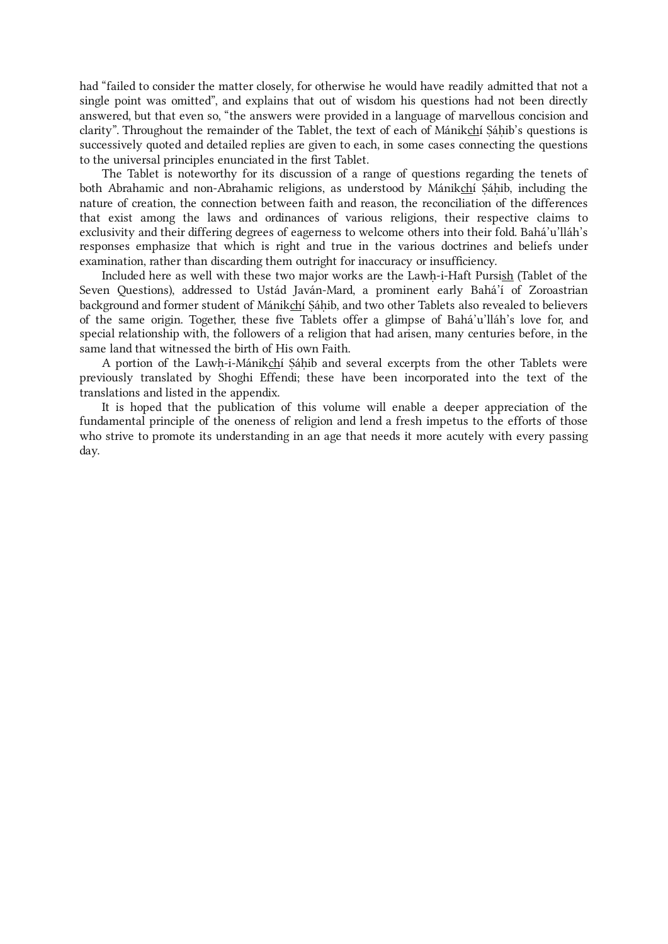had "failed to consider the matter closely, for otherwise he would have readily admitted that not a single point was omitted", and explains that out of wisdom his questions had not been directly answered, but that even so, "the answers were provided in a language of marvellous concision and clarity". Throughout the remainder of the Tablet, the text of each of Mánikchí Sáhib's questions is successively quoted and detailed replies are given to each, in some cases connecting the questions to the universal principles enunciated in the first Tablet.

The Tablet is noteworthy for its discussion of a range of questions regarding the tenets of both Abrahamic and non-Abrahamic religions, as understood by Mánikchí Sáhib, including the nature of creation, the connection between faith and reason, the reconciliation of the differences that exist among the laws and ordinances of various religions, their respective claims to exclusivity and their differing degrees of eagerness to welcome others into their fold. Bahá'u'lláh's responses emphasize that which is right and true in the various doctrines and beliefs under examination, rather than discarding them outright for inaccuracy or insufficiency.

Included here as well with these two major works are the Lawḥ-i-Haft Pursish (Tablet of the Seven Questions), addressed to Ustád Javán-Mard, a prominent early Bahá'í of Zoroastrian background and former student of Mánikchí Sáhib, and two other Tablets also revealed to believers of the same origin. Together, these five Tablets offer a glimpse of Bahá'u'lláh's love for, and special relationship with, the followers of a religion that had arisen, many centuries before, in the same land that witnessed the birth of His own Faith.

A portion of the Lawh-i-Mánikchí Sáhib and several excerpts from the other Tablets were previously translated by Shoghi Effendi; these have been incorporated into the text of the translations and listed in the appendix.

It is hoped that the publication of this volume will enable a deeper appreciation of the fundamental principle of the oneness of religion and lend a fresh impetus to the efforts of those who strive to promote its understanding in an age that needs it more acutely with every passing day.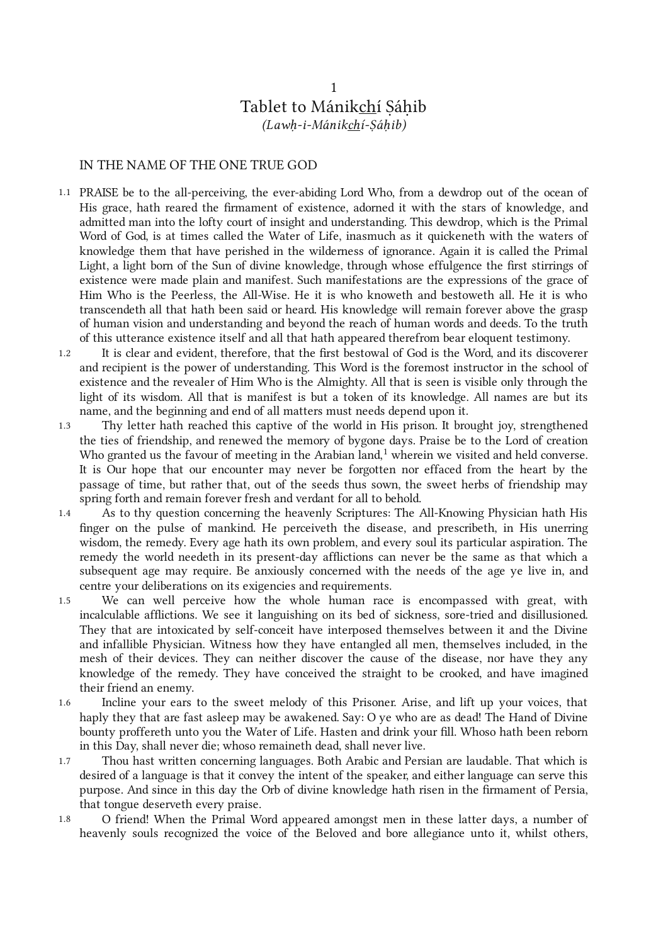## <span id="page-2-0"></span>1 Tablet to Mánikchí Sáhib (Lawḥ-i-Mánikchí-Ṣáḥib)

#### IN THE NAME OF THE ONE TRUE GOD

- PRAISE be to the all-perceiving, the ever-abiding Lord Who, from a dewdrop out of the ocean of 1.1 His grace, hath reared the firmament of existence, adorned it with the stars of knowledge, and admitted man into the lofty court of insight and understanding. This dewdrop, which is the Primal Word of God, is at times called the Water of Life, inasmuch as it quickeneth with the waters of knowledge them that have perished in the wilderness of ignorance. Again it is called the Primal Light, a light born of the Sun of divine knowledge, through whose effulgence the first stirrings of existence were made plain and manifest. Such manifestations are the expressions of the grace of Him Who is the Peerless, the All-Wise. He it is who knoweth and bestoweth all. He it is who transcendeth all that hath been said or heard. His knowledge will remain forever above the grasp of human vision and understanding and beyond the reach of human words and deeds. To the truth of this utterance existence itself and all that hath appeared therefrom bear eloquent testimony.
- It is clear and evident, therefore, that the first bestowal of God is the Word, and its discoverer and recipient is the power of understanding. This Word is the foremost instructor in the school of existence and the revealer of Him Who is the Almighty. All that is seen is visible only through the light of its wisdom. All that is manifest is but a token of its knowledge. All names are but its name, and the beginning and end of all matters must needs depend upon it. 1.2
- <span id="page-2-1"></span>Thy letter hath reached this captive of the world in His prison. It brought joy, strengthened the ties of friendship, and renewed the memory of bygone days. Praise be to the Lord of creation Who granted us the favour of meeting in the Arabian land, $1$  wherein we visited and held converse. It is Our hope that our encounter may never be forgotten nor effaced from the heart by the passage of time, but rather that, out of the seeds thus sown, the sweet herbs of friendship may spring forth and remain forever fresh and verdant for all to behold. 1.3
- As to thy question concerning the heavenly Scriptures: The All-Knowing Physician hath His finger on the pulse of mankind. He perceiveth the disease, and prescribeth, in His unerring wisdom, the remedy. Every age hath its own problem, and every soul its particular aspiration. The remedy the world needeth in its present-day afflictions can never be the same as that which a subsequent age may require. Be anxiously concerned with the needs of the age ye live in, and centre your deliberations on its exigencies and requirements. 1.4
- We can well perceive how the whole human race is encompassed with great, with incalculable afflictions. We see it languishing on its bed of sickness, sore-tried and disillusioned. They that are intoxicated by self-conceit have interposed themselves between it and the Divine and infallible Physician. Witness how they have entangled all men, themselves included, in the mesh of their devices. They can neither discover the cause of the disease, nor have they any knowledge of the remedy. They have conceived the straight to be crooked, and have imagined their friend an enemy. 1.5
- Incline your ears to the sweet melody of this Prisoner. Arise, and lift up your voices, that haply they that are fast asleep may be awakened. Say: O ye who are as dead! The Hand of Divine bounty proffereth unto you the Water of Life. Hasten and drink your fill. Whoso hath been reborn in this Day, shall never die; whoso remaineth dead, shall never live. 1.6
- Thou hast written concerning languages. Both Arabic and Persian are laudable. That which is desired of a language is that it convey the intent of the speaker, and either language can serve this purpose. And since in this day the Orb of divine knowledge hath risen in the firmament of Persia, that tongue deserveth every praise. 1.7
- O friend! When the Primal Word appeared amongst men in these latter days, a number of heavenly souls recognized the voice of the Beloved and bore allegiance unto it, whilst others, 1.8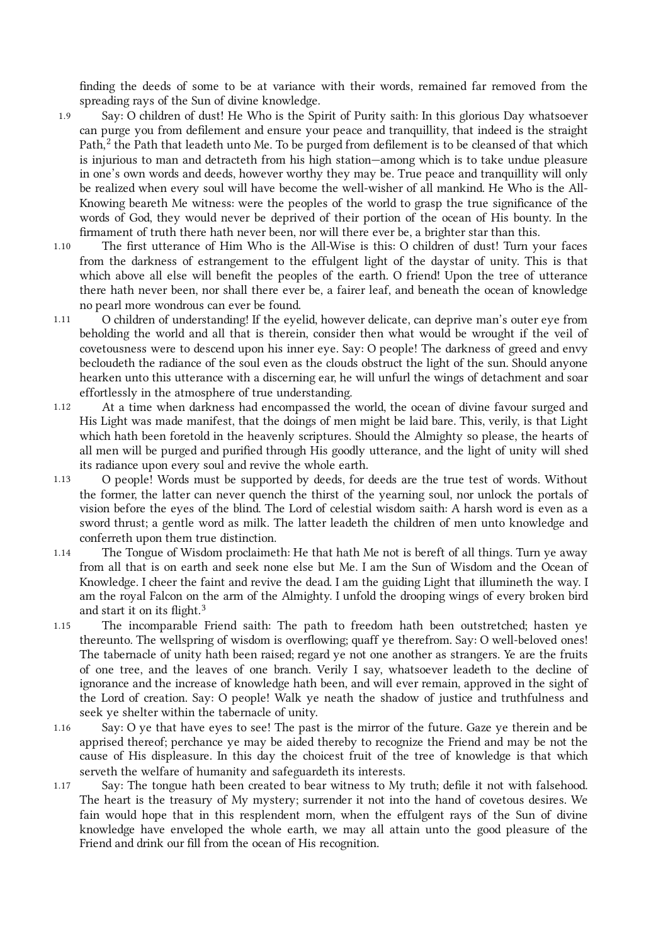<span id="page-3-0"></span>finding the deeds of some to be at variance with their words, remained far removed from the spreading rays of the Sun of divine knowledge.

- Say: O children of dust! He Who is the Spirit of Purity saith: In this glorious Day whatsoever can purge you from defilement and ensure your peace and tranquillity, that indeed is the straight Path, $^2$  $^2$  the Path that leadeth unto Me. To be purged from defilement is to be cleansed of that which is injurious to man and detracteth from his high station—among which is to take undue pleasure in one's own words and deeds, however worthy they may be. True peace and tranquillity will only be realized when every soul will have become the well-wisher of all mankind. He Who is the All-Knowing beareth Me witness: were the peoples of the world to grasp the true significance of the words of God, they would never be deprived of their portion of the ocean of His bounty. In the firmament of truth there hath never been, nor will there ever be, a brighter star than this. 1.9
- The first utterance of Him Who is the All-Wise is this: O children of dust! Turn your faces from the darkness of estrangement to the effulgent light of the daystar of unity. This is that which above all else will benefit the peoples of the earth. O friend! Upon the tree of utterance there hath never been, nor shall there ever be, a fairer leaf, and beneath the ocean of knowledge no pearl more wondrous can ever be found. 1.10
- O children of understanding! If the eyelid, however delicate, can deprive man's outer eye from beholding the world and all that is therein, consider then what would be wrought if the veil of covetousness were to descend upon his inner eye. Say: O people! The darkness of greed and envy becloudeth the radiance of the soul even as the clouds obstruct the light of the sun. Should anyone hearken unto this utterance with a discerning ear, he will unfurl the wings of detachment and soar effortlessly in the atmosphere of true understanding. 1.11
- At a time when darkness had encompassed the world, the ocean of divine favour surged and His Light was made manifest, that the doings of men might be laid bare. This, verily, is that Light which hath been foretold in the heavenly scriptures. Should the Almighty so please, the hearts of all men will be purged and purified through His goodly utterance, and the light of unity will shed its radiance upon every soul and revive the whole earth. 1.12
- O people! Words must be supported by deeds, for deeds are the true test of words. Without the former, the latter can never quench the thirst of the yearning soul, nor unlock the portals of vision before the eyes of the blind. The Lord of celestial wisdom saith: A harsh word is even as a sword thrust; a gentle word as milk. The latter leadeth the children of men unto knowledge and conferreth upon them true distinction. 1.13
- <span id="page-3-1"></span>The Tongue of Wisdom proclaimeth: He that hath Me not is bereft of all things. Turn ye away from all that is on earth and seek none else but Me. I am the Sun of Wisdom and the Ocean of Knowledge. I cheer the faint and revive the dead. I am the guiding Light that illumineth the way. I am the royal Falcon on the arm of the Almighty. I unfold the drooping wings of every broken bird and start it on its flight. $3$ 1.14
- The incomparable Friend saith: The path to freedom hath been outstretched; hasten ye thereunto. The wellspring of wisdom is overflowing; quaff ye therefrom. Say: O well-beloved ones! The tabernacle of unity hath been raised; regard ye not one another as strangers. Ye are the fruits of one tree, and the leaves of one branch. Verily I say, whatsoever leadeth to the decline of ignorance and the increase of knowledge hath been, and will ever remain, approved in the sight of the Lord of creation. Say: O people! Walk ye neath the shadow of justice and truthfulness and seek ye shelter within the tabernacle of unity. 1.15
- Say: O ye that have eyes to see! The past is the mirror of the future. Gaze ye therein and be apprised thereof; perchance ye may be aided thereby to recognize the Friend and may be not the cause of His displeasure. In this day the choicest fruit of the tree of knowledge is that which serveth the welfare of humanity and safeguardeth its interests. 1.16
- Say: The tongue hath been created to bear witness to My truth; defile it not with falsehood. The heart is the treasury of My mystery; surrender it not into the hand of covetous desires. We fain would hope that in this resplendent morn, when the effulgent rays of the Sun of divine knowledge have enveloped the whole earth, we may all attain unto the good pleasure of the Friend and drink our fill from the ocean of His recognition. 1.17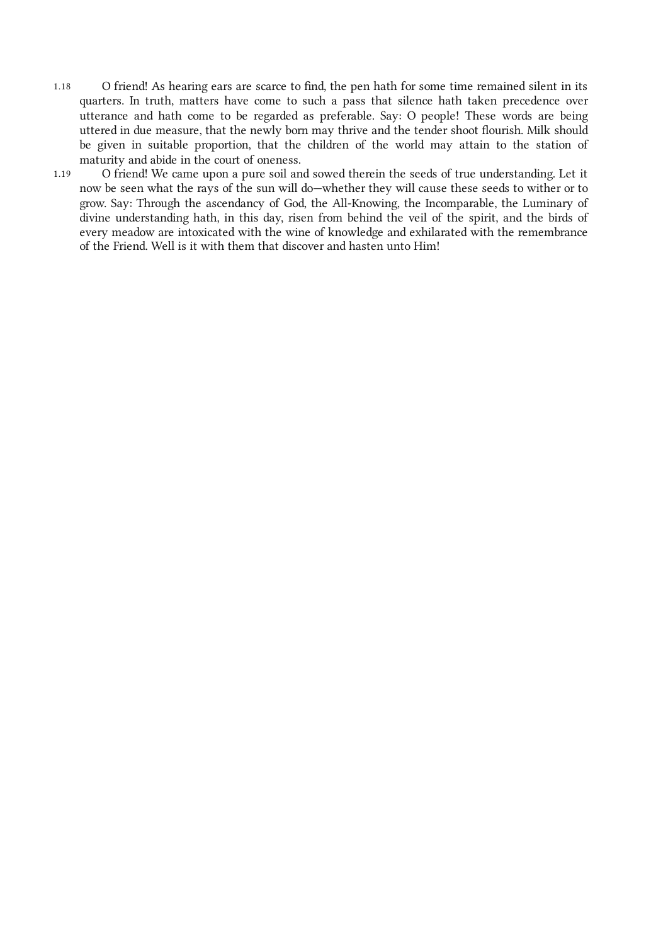- O friend! As hearing ears are scarce to find, the pen hath for some time remained silent in its quarters. In truth, matters have come to such a pass that silence hath taken precedence over utterance and hath come to be regarded as preferable. Say: O people! These words are being uttered in due measure, that the newly born may thrive and the tender shoot flourish. Milk should be given in suitable proportion, that the children of the world may attain to the station of maturity and abide in the court of oneness. 1.18
- O friend! We came upon a pure soil and sowed therein the seeds of true understanding. Let it now be seen what the rays of the sun will do—whether they will cause these seeds to wither or to grow. Say: Through the ascendancy of God, the All-Knowing, the Incomparable, the Luminary of divine understanding hath, in this day, risen from behind the veil of the spirit, and the birds of every meadow are intoxicated with the wine of knowledge and exhilarated with the remembrance of the Friend. Well is it with them that discover and hasten unto Him! 1.19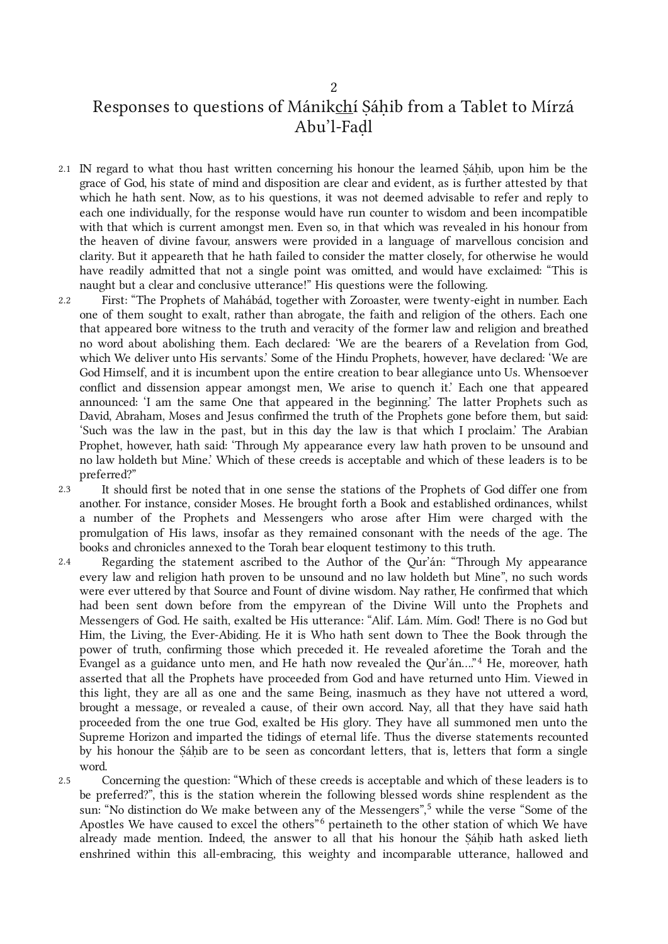# Responses to questions of Mánikchí Sáhib from a Tablet to Mírzá Abu'l-Faḍl

- 2.1 IN regard to what thou hast written concerning his honour the learned Şáḥib, upon him be the grace of God, his state of mind and disposition are clear and evident, as is further attested by that which he hath sent. Now, as to his questions, it was not deemed advisable to refer and reply to each one individually, for the response would have run counter to wisdom and been incompatible with that which is current amongst men. Even so, in that which was revealed in his honour from the heaven of divine favour, answers were provided in a language of marvellous concision and clarity. But it appeareth that he hath failed to consider the matter closely, for otherwise he would have readily admitted that not a single point was omitted, and would have exclaimed: "This is naught but a clear and conclusive utterance!" His questions were the following.
- First: "The Prophets of Mahábád, together with Zoroaster, were twenty-eight in number. Each one of them sought to exalt, rather than abrogate, the faith and religion of the others. Each one that appeared bore witness to the truth and veracity of the former law and religion and breathed no word about abolishing them. Each declared: 'We are the bearers of a Revelation from God, which We deliver unto His servants.' Some of the Hindu Prophets, however, have declared: 'We are God Himself, and it is incumbent upon the entire creation to bear allegiance unto Us. Whensoever conflict and dissension appear amongst men, We arise to quench it.' Each one that appeared announced: 'I am the same One that appeared in the beginning.' The latter Prophets such as David, Abraham, Moses and Jesus confirmed the truth of the Prophets gone before them, but said: 'Such was the law in the past, but in this day the law is that which I proclaim.' The Arabian Prophet, however, hath said: 'Through My appearance every law hath proven to be unsound and no law holdeth but Mine.' Which of these creeds is acceptable and which of these leaders is to be preferred?" 2.2

It should first be noted that in one sense the stations of the Prophets of God differ one from another. For instance, consider Moses. He brought forth a Book and established ordinances, whilst a number of the Prophets and Messengers who arose after Him were charged with the promulgation of His laws, insofar as they remained consonant with the needs of the age. The books and chronicles annexed to the Torah bear eloquent testimony to this truth. 2.3

<span id="page-5-1"></span>Regarding the statement ascribed to the Author of the Qur'án: "Through My appearance every law and religion hath proven to be unsound and no law holdeth but Mine", no such words were ever uttered by that Source and Fount of divine wisdom. Nay rather, He confirmed that which had been sent down before from the empyrean of the Divine Will unto the Prophets and Messengers of God. He saith, exalted be His utterance: "Alif. Lám. Mím. God! There is no God but Him, the Living, the Ever-Abiding. He it is Who hath sent down to Thee the Book through the power of truth, confirming those which preceded it. He revealed aforetime the Torah and the Evangel as a guidance unto men, and He hath now revealed the Qur'án…." [4](#page-21-4) He, moreover, hath asserted that all the Prophets have proceeded from God and have returned unto Him. Viewed in this light, they are all as one and the same Being, inasmuch as they have not uttered a word, brought a message, or revealed a cause, of their own accord. Nay, all that they have said hath proceeded from the one true God, exalted be His glory. They have all summoned men unto the Supreme Horizon and imparted the tidings of eternal life. Thus the diverse statements recounted by his honour the Ṣáḥib are to be seen as concordant letters, that is, letters that form a single word.  $2.4$ 

<span id="page-5-2"></span>Concerning the question: "Which of these creeds is acceptable and which of these leaders is to be preferred?", this is the station wherein the following blessed words shine resplendent as the sun: "No distinction do We make between any of the Messengers", [5](#page-21-5) while the verse "Some of the Apostles We have caused to excel the others<sup>"[6](#page-21-6)</sup> pertaineth to the other station of which We have already made mention. Indeed, the answer to all that his honour the Sáhib hath asked lieth enshrined within this all-embracing, this weighty and incomparable utterance, hallowed and 2.5

<span id="page-5-0"></span>2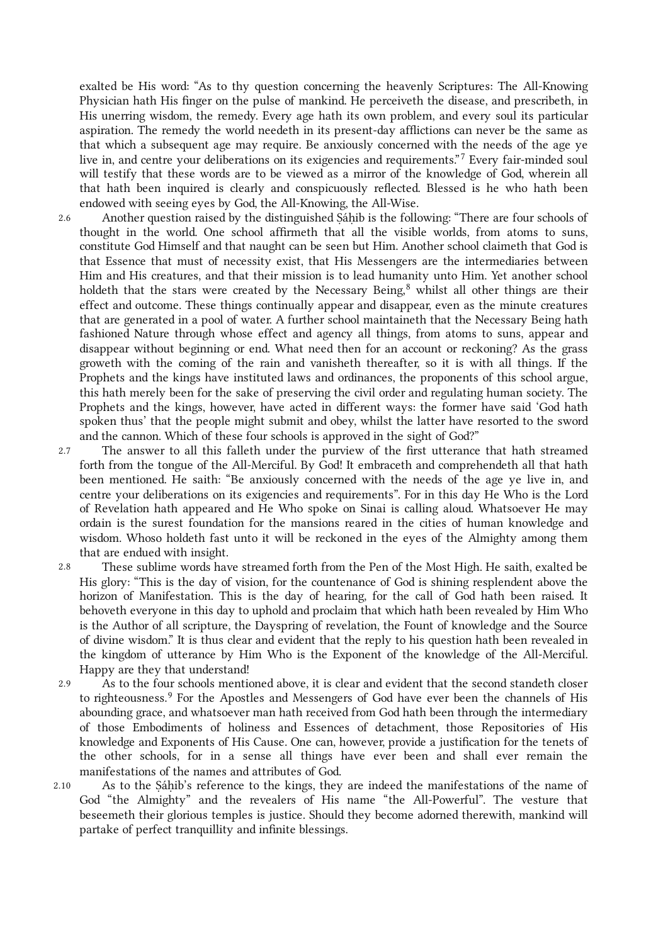exalted be His word: "As to thy question concerning the heavenly Scriptures: The All-Knowing Physician hath His finger on the pulse of mankind. He perceiveth the disease, and prescribeth, in His unerring wisdom, the remedy. Every age hath its own problem, and every soul its particular aspiration. The remedy the world needeth in its present-day afflictions can never be the same as that which a subsequent age may require. Be anxiously concerned with the needs of the age ye live in, and centre your deliberations on its exigencies and requirements." [7](#page-21-7) Every fair-minded soul will testify that these words are to be viewed as a mirror of the knowledge of God, wherein all that hath been inquired is clearly and conspicuously reflected. Blessed is he who hath been endowed with seeing eyes by God, the All-Knowing, the All-Wise.

- <span id="page-6-0"></span>Another question raised by the distinguished Ṣáḥib is the following: "There are four schools of thought in the world. One school affirmeth that all the visible worlds, from atoms to suns, constitute God Himself and that naught can be seen but Him. Another school claimeth that God is that Essence that must of necessity exist, that His Messengers are the intermediaries between Him and His creatures, and that their mission is to lead humanity unto Him. Yet another school holdeth that the stars were created by the Necessary Being,<sup>[8](#page-21-8)</sup> whilst all other things are their effect and outcome. These things continually appear and disappear, even as the minute creatures that are generated in a pool of water. A further school maintaineth that the Necessary Being hath fashioned Nature through whose effect and agency all things, from atoms to suns, appear and disappear without beginning or end. What need then for an account or reckoning? As the grass groweth with the coming of the rain and vanisheth thereafter, so it is with all things. If the Prophets and the kings have instituted laws and ordinances, the proponents of this school argue, this hath merely been for the sake of preserving the civil order and regulating human society. The Prophets and the kings, however, have acted in different ways: the former have said 'God hath spoken thus' that the people might submit and obey, whilst the latter have resorted to the sword and the cannon. Which of these four schools is approved in the sight of God?" 2.6
- The answer to all this falleth under the purview of the first utterance that hath streamed forth from the tongue of the All-Merciful. By God! It embraceth and comprehendeth all that hath been mentioned. He saith: "Be anxiously concerned with the needs of the age ye live in, and centre your deliberations on its exigencies and requirements". For in this day He Who is the Lord of Revelation hath appeared and He Who spoke on Sinai is calling aloud. Whatsoever He may ordain is the surest foundation for the mansions reared in the cities of human knowledge and wisdom. Whoso holdeth fast unto it will be reckoned in the eyes of the Almighty among them that are endued with insight. 2.7
- These sublime words have streamed forth from the Pen of the Most High. He saith, exalted be His glory: "This is the day of vision, for the countenance of God is shining resplendent above the horizon of Manifestation. This is the day of hearing, for the call of God hath been raised. It behoveth everyone in this day to uphold and proclaim that which hath been revealed by Him Who is the Author of all scripture, the Dayspring of revelation, the Fount of knowledge and the Source of divine wisdom." It is thus clear and evident that the reply to his question hath been revealed in the kingdom of utterance by Him Who is the Exponent of the knowledge of the All-Merciful. Happy are they that understand! 2.8
- <span id="page-6-1"></span>As to the four schools mentioned above, it is clear and evident that the second standeth closer to righteousness. [9](#page-21-9) For the Apostles and Messengers of God have ever been the channels of His abounding grace, and whatsoever man hath received from God hath been through the intermediary of those Embodiments of holiness and Essences of detachment, those Repositories of His knowledge and Exponents of His Cause. One can, however, provide a justification for the tenets of the other schools, for in a sense all things have ever been and shall ever remain the manifestations of the names and attributes of God. 2.9
- As to the Sáhib's reference to the kings, they are indeed the manifestations of the name of God "the Almighty" and the revealers of His name "the All-Powerful". The vesture that beseemeth their glorious temples is justice. Should they become adorned therewith, mankind will partake of perfect tranquillity and infinite blessings. 2.10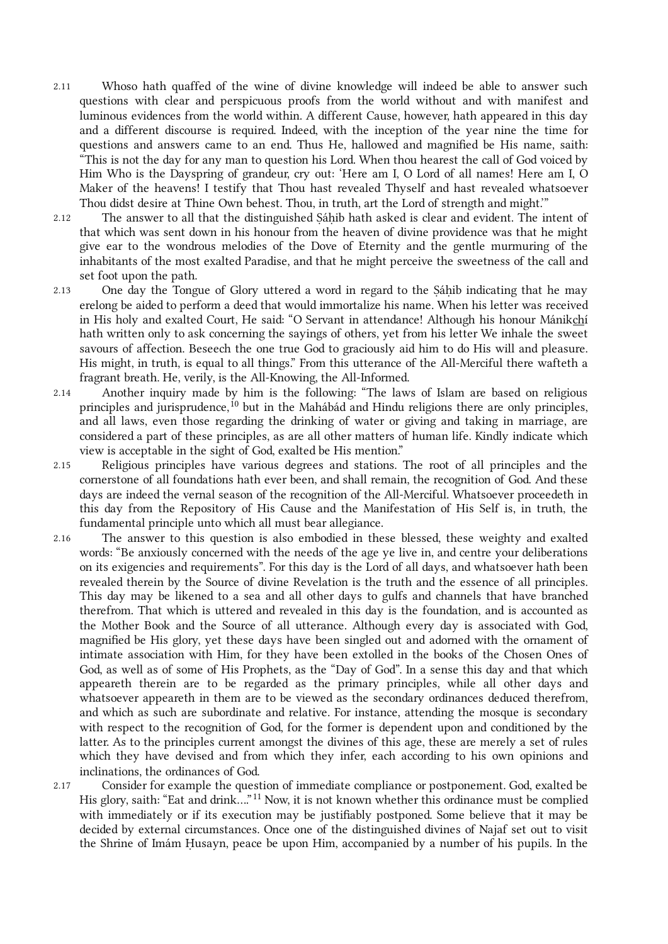- Whoso hath quaffed of the wine of divine knowledge will indeed be able to answer such questions with clear and perspicuous proofs from the world without and with manifest and luminous evidences from the world within. A different Cause, however, hath appeared in this day and a different discourse is required. Indeed, with the inception of the year nine the time for questions and answers came to an end. Thus He, hallowed and magnified be His name, saith: "This is not the day for any man to question his Lord. When thou hearest the call of God voiced by Him Who is the Dayspring of grandeur, cry out: 'Here am I, O Lord of all names! Here am I, O Maker of the heavens! I testify that Thou hast revealed Thyself and hast revealed whatsoever Thou didst desire at Thine Own behest. Thou, in truth, art the Lord of strength and might.'" 2.11
- The answer to all that the distinguished Ṣáḥib hath asked is clear and evident. The intent of that which was sent down in his honour from the heaven of divine providence was that he might give ear to the wondrous melodies of the Dove of Eternity and the gentle murmuring of the inhabitants of the most exalted Paradise, and that he might perceive the sweetness of the call and set foot upon the path. 2.12
- One day the Tongue of Glory uttered a word in regard to the Sáhib indicating that he may erelong be aided to perform a deed that would immortalize his name. When his letter was received in His holy and exalted Court, He said: "O Servant in attendance! Although his honour Mánikchí hath written only to ask concerning the sayings of others, yet from his letter We inhale the sweet savours of affection. Beseech the one true God to graciously aid him to do His will and pleasure. His might, in truth, is equal to all things." From this utterance of the All-Merciful there wafteth a fragrant breath. He, verily, is the All-Knowing, the All-Informed. 2.13
- <span id="page-7-0"></span>Another inquiry made by him is the following: "The laws of Islam are based on religious principles and jurisprudence,<sup>[10](#page-21-10)</sup> but in the Mahábád and Hindu religions there are only principles, and all laws, even those regarding the drinking of water or giving and taking in marriage, are considered a part of these principles, as are all other matters of human life. Kindly indicate which view is acceptable in the sight of God, exalted be His mention." 2.14
- Religious principles have various degrees and stations. The root of all principles and the cornerstone of all foundations hath ever been, and shall remain, the recognition of God. And these days are indeed the vernal season of the recognition of the All-Merciful. Whatsoever proceedeth in this day from the Repository of His Cause and the Manifestation of His Self is, in truth, the fundamental principle unto which all must bear allegiance. 2.15
- The answer to this question is also embodied in these blessed, these weighty and exalted words: "Be anxiously concerned with the needs of the age ye live in, and centre your deliberations on its exigencies and requirements". For this day is the Lord of all days, and whatsoever hath been revealed therein by the Source of divine Revelation is the truth and the essence of all principles. This day may be likened to a sea and all other days to gulfs and channels that have branched therefrom. That which is uttered and revealed in this day is the foundation, and is accounted as the Mother Book and the Source of all utterance. Although every day is associated with God, magnified be His glory, yet these days have been singled out and adorned with the ornament of intimate association with Him, for they have been extolled in the books of the Chosen Ones of God, as well as of some of His Prophets, as the "Day of God". In a sense this day and that which appeareth therein are to be regarded as the primary principles, while all other days and whatsoever appeareth in them are to be viewed as the secondary ordinances deduced therefrom, and which as such are subordinate and relative. For instance, attending the mosque is secondary with respect to the recognition of God, for the former is dependent upon and conditioned by the latter. As to the principles current amongst the divines of this age, these are merely a set of rules which they have devised and from which they infer, each according to his own opinions and inclinations, the ordinances of God. 2.16
- <span id="page-7-1"></span>Consider for example the question of immediate compliance or postponement. God, exalted be His glory, saith: "Eat and drink..."<sup>[11](#page-21-11)</sup> Now, it is not known whether this ordinance must be complied with immediately or if its execution may be justifiably postponed. Some believe that it may be decided by external circumstances. Once one of the distinguished divines of Najaf set out to visit the Shrine of Imám Ḥusayn, peace be upon Him, accompanied by a number of his pupils. In the 2.17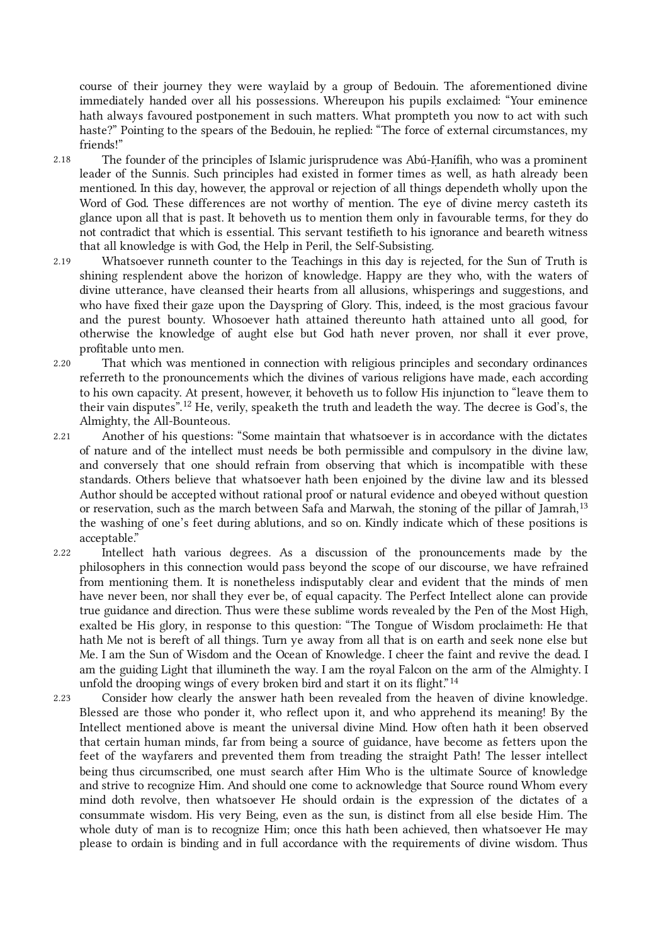course of their journey they were waylaid by a group of Bedouin. The aforementioned divine immediately handed over all his possessions. Whereupon his pupils exclaimed: "Your eminence hath always favoured postponement in such matters. What prompteth you now to act with such haste?" Pointing to the spears of the Bedouin, he replied: "The force of external circumstances, my friends!"

- The founder of the principles of Islamic jurisprudence was Abú-Ḥanífih, who was a prominent leader of the Sunnis. Such principles had existed in former times as well, as hath already been mentioned. In this day, however, the approval or rejection of all things dependeth wholly upon the Word of God. These differences are not worthy of mention. The eye of divine mercy casteth its glance upon all that is past. It behoveth us to mention them only in favourable terms, for they do not contradict that which is essential. This servant testifieth to his ignorance and beareth witness that all knowledge is with God, the Help in Peril, the Self-Subsisting. 2.18
- Whatsoever runneth counter to the Teachings in this day is rejected, for the Sun of Truth is shining resplendent above the horizon of knowledge. Happy are they who, with the waters of divine utterance, have cleansed their hearts from all allusions, whisperings and suggestions, and who have fixed their gaze upon the Dayspring of Glory. This, indeed, is the most gracious favour and the purest bounty. Whosoever hath attained thereunto hath attained unto all good, for otherwise the knowledge of aught else but God hath never proven, nor shall it ever prove, profitable unto men. 2.19
- <span id="page-8-0"></span>That which was mentioned in connection with religious principles and secondary ordinances referreth to the pronouncements which the divines of various religions have made, each according to his own capacity. At present, however, it behoveth us to follow His injunction to "leave them to their vain disputes".<sup>[12](#page-21-12)</sup> He, verily, speaketh the truth and leadeth the way. The decree is God's, the Almighty, the All-Bounteous. 2.20
- <span id="page-8-1"></span>Another of his questions: "Some maintain that whatsoever is in accordance with the dictates of nature and of the intellect must needs be both permissible and compulsory in the divine law, and conversely that one should refrain from observing that which is incompatible with these standards. Others believe that whatsoever hath been enjoined by the divine law and its blessed Author should be accepted without rational proof or natural evidence and obeyed without question or reservation, such as the march between Safa and Marwah, the stoning of the pillar of Jamrah,<sup>[13](#page-21-13)</sup> the washing of one's feet during ablutions, and so on. Kindly indicate which of these positions is acceptable." 2.21
- <span id="page-8-2"></span>Intellect hath various degrees. As a discussion of the pronouncements made by the philosophers in this connection would pass beyond the scope of our discourse, we have refrained from mentioning them. It is nonetheless indisputably clear and evident that the minds of men have never been, nor shall they ever be, of equal capacity. The Perfect Intellect alone can provide true guidance and direction. Thus were these sublime words revealed by the Pen of the Most High, exalted be His glory, in response to this question: "The Tongue of Wisdom proclaimeth: He that hath Me not is bereft of all things. Turn ye away from all that is on earth and seek none else but Me. I am the Sun of Wisdom and the Ocean of Knowledge. I cheer the faint and revive the dead. I am the guiding Light that illumineth the way. I am the royal Falcon on the arm of the Almighty. I unfold the drooping wings of every broken bird and start it on its flight."<sup>[14](#page-21-14)</sup> 2.22
- Consider how clearly the answer hath been revealed from the heaven of divine knowledge. Blessed are those who ponder it, who reflect upon it, and who apprehend its meaning! By the Intellect mentioned above is meant the universal divine Mind. How often hath it been observed that certain human minds, far from being a source of guidance, have become as fetters upon the feet of the wayfarers and prevented them from treading the straight Path! The lesser intellect being thus circumscribed, one must search after Him Who is the ultimate Source of knowledge and strive to recognize Him. And should one come to acknowledge that Source round Whom every mind doth revolve, then whatsoever He should ordain is the expression of the dictates of a consummate wisdom. His very Being, even as the sun, is distinct from all else beside Him. The whole duty of man is to recognize Him; once this hath been achieved, then whatsoever He may please to ordain is binding and in full accordance with the requirements of divine wisdom. Thus 2.23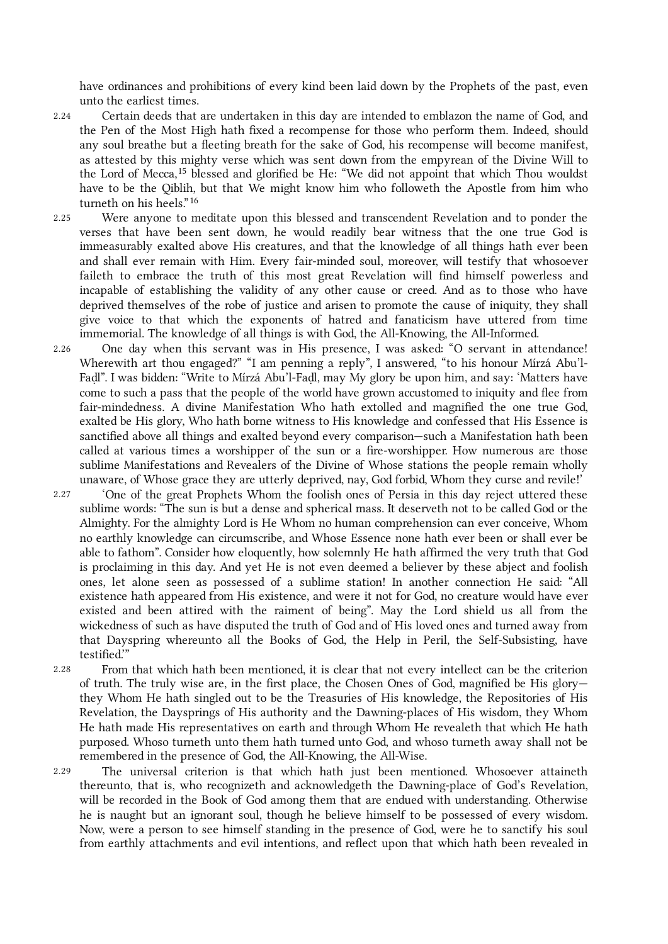<span id="page-9-0"></span>have ordinances and prohibitions of every kind been laid down by the Prophets of the past, even unto the earliest times.

- Certain deeds that are undertaken in this day are intended to emblazon the name of God, and the Pen of the Most High hath fixed a recompense for those who perform them. Indeed, should any soul breathe but a fleeting breath for the sake of God, his recompense will become manifest, as attested by this mighty verse which was sent down from the empyrean of the Divine Will to the Lord of Mecca,<sup>[15](#page-21-15)</sup> blessed and glorified be He: "We did not appoint that which Thou wouldst have to be the Qiblih, but that We might know him who followeth the Apostle from him who turneth on his heels." [16](#page-21-16) 2.24
- Were anyone to meditate upon this blessed and transcendent Revelation and to ponder the verses that have been sent down, he would readily bear witness that the one true God is immeasurably exalted above His creatures, and that the knowledge of all things hath ever been and shall ever remain with Him. Every fair-minded soul, moreover, will testify that whosoever faileth to embrace the truth of this most great Revelation will find himself powerless and incapable of establishing the validity of any other cause or creed. And as to those who have deprived themselves of the robe of justice and arisen to promote the cause of iniquity, they shall give voice to that which the exponents of hatred and fanaticism have uttered from time immemorial. The knowledge of all things is with God, the All-Knowing, the All-Informed. 2.25
- One day when this servant was in His presence, I was asked: "O servant in attendance! Wherewith art thou engaged?" "I am penning a reply", I answered, "to his honour Mírzá Abu'l-Faḍl". I was bidden: "Write to Mírzá Abu'l-Faḍl, may My glory be upon him, and say: 'Matters have come to such a pass that the people of the world have grown accustomed to iniquity and flee from fair-mindedness. A divine Manifestation Who hath extolled and magnified the one true God, exalted be His glory, Who hath borne witness to His knowledge and confessed that His Essence is sanctified above all things and exalted beyond every comparison—such a Manifestation hath been called at various times a worshipper of the sun or a fire-worshipper. How numerous are those sublime Manifestations and Revealers of the Divine of Whose stations the people remain wholly unaware, of Whose grace they are utterly deprived, nay, God forbid, Whom they curse and revile!' 2.26
- 'One of the great Prophets Whom the foolish ones of Persia in this day reject uttered these sublime words: "The sun is but a dense and spherical mass. It deserveth not to be called God or the Almighty. For the almighty Lord is He Whom no human comprehension can ever conceive, Whom no earthly knowledge can circumscribe, and Whose Essence none hath ever been or shall ever be able to fathom". Consider how eloquently, how solemnly He hath affirmed the very truth that God is proclaiming in this day. And yet He is not even deemed a believer by these abject and foolish ones, let alone seen as possessed of a sublime station! In another connection He said: "All existence hath appeared from His existence, and were it not for God, no creature would have ever existed and been attired with the raiment of being". May the Lord shield us all from the wickedness of such as have disputed the truth of God and of His loved ones and turned away from that Dayspring whereunto all the Books of God, the Help in Peril, the Self-Subsisting, have testified.'" 2.27
- From that which hath been mentioned, it is clear that not every intellect can be the criterion of truth. The truly wise are, in the first place, the Chosen Ones of God, magnified be His glory they Whom He hath singled out to be the Treasuries of His knowledge, the Repositories of His Revelation, the Daysprings of His authority and the Dawning-places of His wisdom, they Whom He hath made His representatives on earth and through Whom He revealeth that which He hath purposed. Whoso turneth unto them hath turned unto God, and whoso turneth away shall not be remembered in the presence of God, the All-Knowing, the All-Wise. 2.28
- The universal criterion is that which hath just been mentioned. Whosoever attaineth thereunto, that is, who recognizeth and acknowledgeth the Dawning-place of God's Revelation, will be recorded in the Book of God among them that are endued with understanding. Otherwise he is naught but an ignorant soul, though he believe himself to be possessed of every wisdom. Now, were a person to see himself standing in the presence of God, were he to sanctify his soul from earthly attachments and evil intentions, and reflect upon that which hath been revealed in 2.29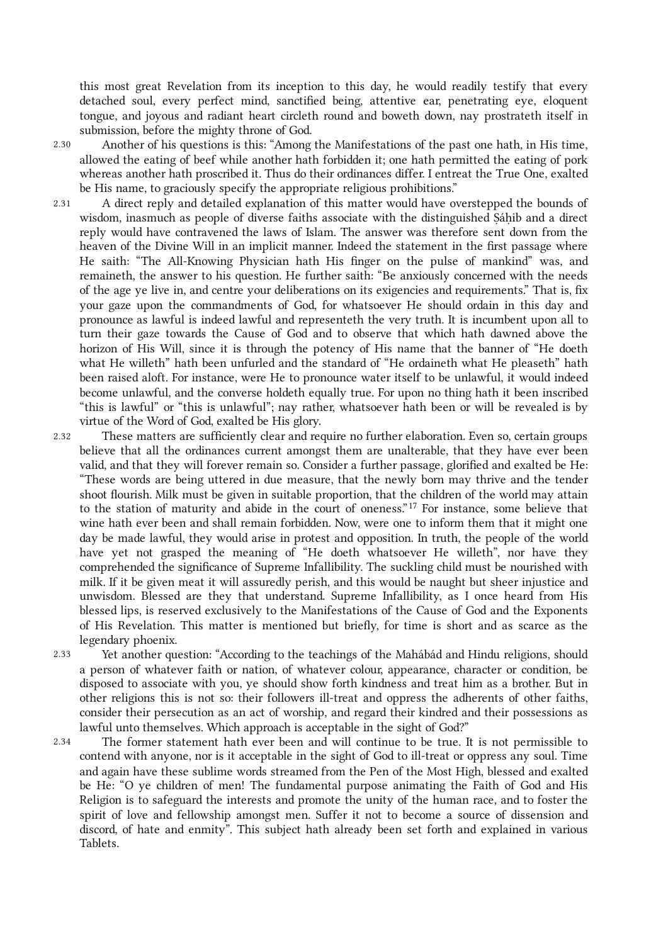this most great Revelation from its inception to this day, he would readily testify that every detached soul, every perfect mind, sanctified being, attentive ear, penetrating eye, eloquent tongue, and joyous and radiant heart circleth round and boweth down, nay prostrateth itself in submission, before the mighty throne of God.

2.30

Another of his questions is this: "Among the Manifestations of the past one hath, in His time, allowed the eating of beef while another hath forbidden it; one hath permitted the eating of pork whereas another hath proscribed it. Thus do their ordinances differ. I entreat the True One, exalted be His name, to graciously specify the appropriate religious prohibitions."

- A direct reply and detailed explanation of this matter would have overstepped the bounds of wisdom, inasmuch as people of diverse faiths associate with the distinguished Ṣáḥib and a direct reply would have contravened the laws of Islam. The answer was therefore sent down from the heaven of the Divine Will in an implicit manner. Indeed the statement in the first passage where He saith: "The All-Knowing Physician hath His finger on the pulse of mankind" was, and remaineth, the answer to his question. He further saith: "Be anxiously concerned with the needs of the age ye live in, and centre your deliberations on its exigencies and requirements." That is, fix your gaze upon the commandments of God, for whatsoever He should ordain in this day and pronounce as lawful is indeed lawful and representeth the very truth. It is incumbent upon all to turn their gaze towards the Cause of God and to observe that which hath dawned above the horizon of His Will, since it is through the potency of His name that the banner of "He doeth what He willeth" hath been unfurled and the standard of "He ordaineth what He pleaseth" hath been raised aloft. For instance, were He to pronounce water itself to be unlawful, it would indeed become unlawful, and the converse holdeth equally true. For upon no thing hath it been inscribed "this is lawful" or "this is unlawful"; nay rather, whatsoever hath been or will be revealed is by virtue of the Word of God, exalted be His glory. 2.31
- <span id="page-10-0"></span>These matters are sufficiently clear and require no further elaboration. Even so, certain groups believe that all the ordinances current amongst them are unalterable, that they have ever been valid, and that they will forever remain so. Consider a further passage, glorified and exalted be He: "These words are being uttered in due measure, that the newly born may thrive and the tender shoot flourish. Milk must be given in suitable proportion, that the children of the world may attain to the station of maturity and abide in the court of oneness."<sup>[17](#page-21-17)</sup> For instance, some believe that wine hath ever been and shall remain forbidden. Now, were one to inform them that it might one day be made lawful, they would arise in protest and opposition. In truth, the people of the world have yet not grasped the meaning of "He doeth whatsoever He willeth", nor have they comprehended the significance of Supreme Infallibility. The suckling child must be nourished with milk. If it be given meat it will assuredly perish, and this would be naught but sheer injustice and unwisdom. Blessed are they that understand. Supreme Infallibility, as I once heard from His blessed lips, is reserved exclusively to the Manifestations of the Cause of God and the Exponents of His Revelation. This matter is mentioned but briefly, for time is short and as scarce as the legendary phoenix. 2.32
- Yet another question: "According to the teachings of the Mahábád and Hindu religions, should a person of whatever faith or nation, of whatever colour, appearance, character or condition, be disposed to associate with you, ye should show forth kindness and treat him as a brother. But in other religions this is not so: their followers ill-treat and oppress the adherents of other faiths, consider their persecution as an act of worship, and regard their kindred and their possessions as lawful unto themselves. Which approach is acceptable in the sight of God?" 2.33
- The former statement hath ever been and will continue to be true. It is not permissible to contend with anyone, nor is it acceptable in the sight of God to ill-treat or oppress any soul. Time and again have these sublime words streamed from the Pen of the Most High, blessed and exalted be He: "O ye children of men! The fundamental purpose animating the Faith of God and His Religion is to safeguard the interests and promote the unity of the human race, and to foster the spirit of love and fellowship amongst men. Suffer it not to become a source of dissension and discord, of hate and enmity". This subject hath already been set forth and explained in various Tablets. 2.34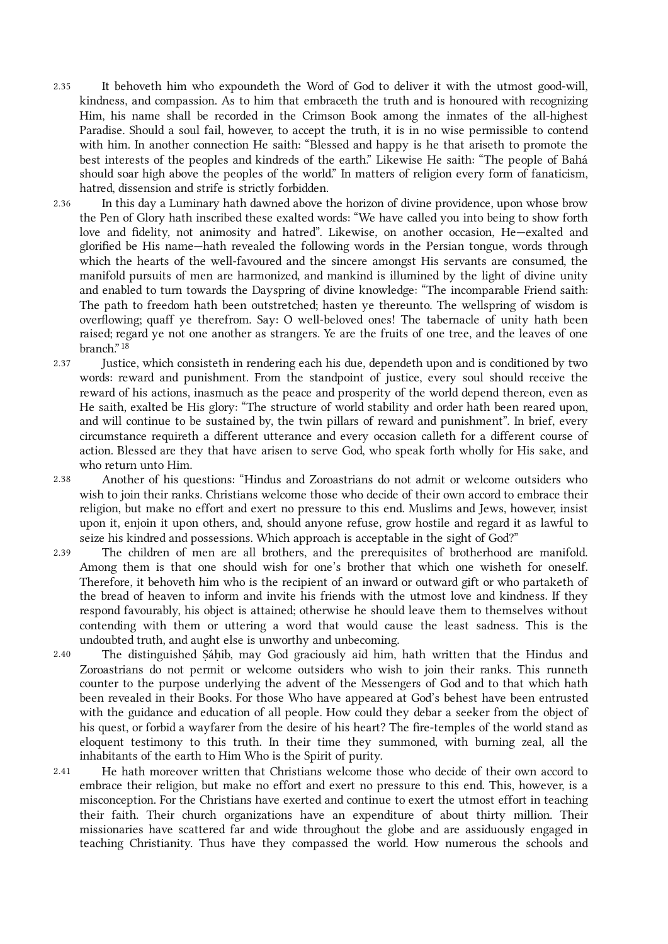- It behoveth him who expoundeth the Word of God to deliver it with the utmost good-will, kindness, and compassion. As to him that embraceth the truth and is honoured with recognizing Him, his name shall be recorded in the Crimson Book among the inmates of the all-highest Paradise. Should a soul fail, however, to accept the truth, it is in no wise permissible to contend with him. In another connection He saith: "Blessed and happy is he that ariseth to promote the best interests of the peoples and kindreds of the earth." Likewise He saith: "The people of Bahá should soar high above the peoples of the world." In matters of religion every form of fanaticism, hatred, dissension and strife is strictly forbidden. 2.35
- <span id="page-11-0"></span>In this day a Luminary hath dawned above the horizon of divine providence, upon whose brow the Pen of Glory hath inscribed these exalted words: "We have called you into being to show forth love and fidelity, not animosity and hatred". Likewise, on another occasion, He—exalted and glorified be His name—hath revealed the following words in the Persian tongue, words through which the hearts of the well-favoured and the sincere amongst His servants are consumed, the manifold pursuits of men are harmonized, and mankind is illumined by the light of divine unity and enabled to turn towards the Dayspring of divine knowledge: "The incomparable Friend saith: The path to freedom hath been outstretched; hasten ye thereunto. The wellspring of wisdom is overflowing; quaff ye therefrom. Say: O well-beloved ones! The tabernacle of unity hath been raised; regard ye not one another as strangers. Ye are the fruits of one tree, and the leaves of one branch." [18](#page-21-18) 2.36
- Justice, which consisteth in rendering each his due, dependeth upon and is conditioned by two words: reward and punishment. From the standpoint of justice, every soul should receive the reward of his actions, inasmuch as the peace and prosperity of the world depend thereon, even as He saith, exalted be His glory: "The structure of world stability and order hath been reared upon, and will continue to be sustained by, the twin pillars of reward and punishment". In brief, every circumstance requireth a different utterance and every occasion calleth for a different course of action. Blessed are they that have arisen to serve God, who speak forth wholly for His sake, and who return unto Him. 2.37
- Another of his questions: "Hindus and Zoroastrians do not admit or welcome outsiders who wish to join their ranks. Christians welcome those who decide of their own accord to embrace their religion, but make no effort and exert no pressure to this end. Muslims and Jews, however, insist upon it, enjoin it upon others, and, should anyone refuse, grow hostile and regard it as lawful to seize his kindred and possessions. Which approach is acceptable in the sight of God?" 2.38
- The children of men are all brothers, and the prerequisites of brotherhood are manifold. Among them is that one should wish for one's brother that which one wisheth for oneself. Therefore, it behoveth him who is the recipient of an inward or outward gift or who partaketh of the bread of heaven to inform and invite his friends with the utmost love and kindness. If they respond favourably, his object is attained; otherwise he should leave them to themselves without contending with them or uttering a word that would cause the least sadness. This is the undoubted truth, and aught else is unworthy and unbecoming. 2.39
- The distinguished Ṣáḥib, may God graciously aid him, hath written that the Hindus and Zoroastrians do not permit or welcome outsiders who wish to join their ranks. This runneth counter to the purpose underlying the advent of the Messengers of God and to that which hath been revealed in their Books. For those Who have appeared at God's behest have been entrusted with the guidance and education of all people. How could they debar a seeker from the object of his quest, or forbid a wayfarer from the desire of his heart? The fire-temples of the world stand as eloquent testimony to this truth. In their time they summoned, with burning zeal, all the inhabitants of the earth to Him Who is the Spirit of purity. 2.40
- He hath moreover written that Christians welcome those who decide of their own accord to embrace their religion, but make no effort and exert no pressure to this end. This, however, is a misconception. For the Christians have exerted and continue to exert the utmost effort in teaching their faith. Their church organizations have an expenditure of about thirty million. Their missionaries have scattered far and wide throughout the globe and are assiduously engaged in teaching Christianity. Thus have they compassed the world. How numerous the schools and 2.41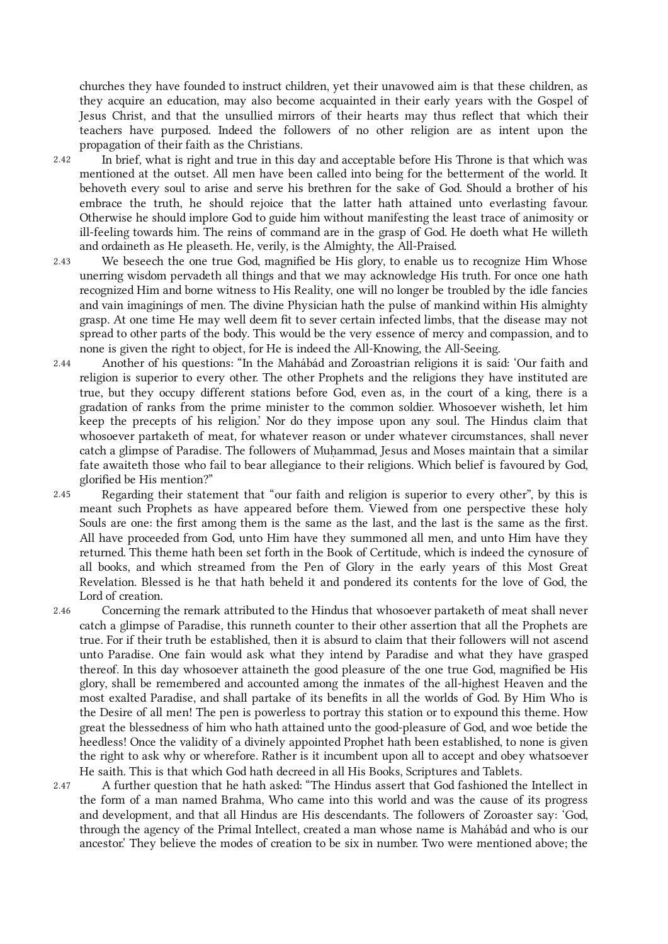churches they have founded to instruct children, yet their unavowed aim is that these children, as they acquire an education, may also become acquainted in their early years with the Gospel of Jesus Christ, and that the unsullied mirrors of their hearts may thus reflect that which their teachers have purposed. Indeed the followers of no other religion are as intent upon the propagation of their faith as the Christians.

In brief, what is right and true in this day and acceptable before His Throne is that which was mentioned at the outset. All men have been called into being for the betterment of the world. It behoveth every soul to arise and serve his brethren for the sake of God. Should a brother of his embrace the truth, he should rejoice that the latter hath attained unto everlasting favour. Otherwise he should implore God to guide him without manifesting the least trace of animosity or ill-feeling towards him. The reins of command are in the grasp of God. He doeth what He willeth and ordaineth as He pleaseth. He, verily, is the Almighty, the All-Praised. 2.42

- We beseech the one true God, magnified be His glory, to enable us to recognize Him Whose unerring wisdom pervadeth all things and that we may acknowledge His truth. For once one hath recognized Him and borne witness to His Reality, one will no longer be troubled by the idle fancies and vain imaginings of men. The divine Physician hath the pulse of mankind within His almighty grasp. At one time He may well deem fit to sever certain infected limbs, that the disease may not spread to other parts of the body. This would be the very essence of mercy and compassion, and to none is given the right to object, for He is indeed the All-Knowing, the All-Seeing. 2.43
- Another of his questions: "In the Mahábád and Zoroastrian religions it is said: 'Our faith and religion is superior to every other. The other Prophets and the religions they have instituted are true, but they occupy different stations before God, even as, in the court of a king, there is a gradation of ranks from the prime minister to the common soldier. Whosoever wisheth, let him keep the precepts of his religion.' Nor do they impose upon any soul. The Hindus claim that whosoever partaketh of meat, for whatever reason or under whatever circumstances, shall never catch a glimpse of Paradise. The followers of Muḥammad, Jesus and Moses maintain that a similar fate awaiteth those who fail to bear allegiance to their religions. Which belief is favoured by God, glorified be His mention?" 2.44
- Regarding their statement that "our faith and religion is superior to every other", by this is meant such Prophets as have appeared before them. Viewed from one perspective these holy Souls are one: the first among them is the same as the last, and the last is the same as the first. All have proceeded from God, unto Him have they summoned all men, and unto Him have they returned. This theme hath been set forth in the Book of Certitude, which is indeed the cynosure of all books, and which streamed from the Pen of Glory in the early years of this Most Great Revelation. Blessed is he that hath beheld it and pondered its contents for the love of God, the Lord of creation. 2.45
- Concerning the remark attributed to the Hindus that whosoever partaketh of meat shall never catch a glimpse of Paradise, this runneth counter to their other assertion that all the Prophets are true. For if their truth be established, then it is absurd to claim that their followers will not ascend unto Paradise. One fain would ask what they intend by Paradise and what they have grasped thereof. In this day whosoever attaineth the good pleasure of the one true God, magnified be His glory, shall be remembered and accounted among the inmates of the all-highest Heaven and the most exalted Paradise, and shall partake of its benefits in all the worlds of God. By Him Who is the Desire of all men! The pen is powerless to portray this station or to expound this theme. How great the blessedness of him who hath attained unto the good-pleasure of God, and woe betide the heedless! Once the validity of a divinely appointed Prophet hath been established, to none is given the right to ask why or wherefore. Rather is it incumbent upon all to accept and obey whatsoever He saith. This is that which God hath decreed in all His Books, Scriptures and Tablets. 2.46
- A further question that he hath asked: "The Hindus assert that God fashioned the Intellect in the form of a man named Brahma, Who came into this world and was the cause of its progress and development, and that all Hindus are His descendants. The followers of Zoroaster say: 'God, through the agency of the Primal Intellect, created a man whose name is Mahábád and who is our ancestor.' They believe the modes of creation to be six in number. Two were mentioned above; the  $2.47$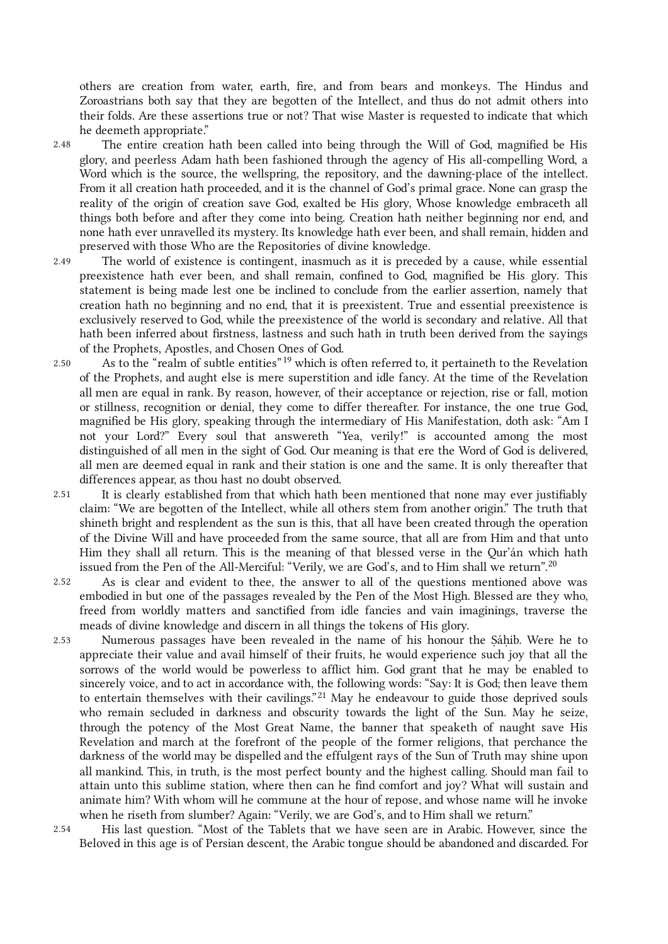others are creation from water, earth, fire, and from bears and monkeys. The Hindus and Zoroastrians both say that they are begotten of the Intellect, and thus do not admit others into their folds. Are these assertions true or not? That wise Master is requested to indicate that which he deemeth appropriate."

The entire creation hath been called into being through the Will of God, magnified be His glory, and peerless Adam hath been fashioned through the agency of His all-compelling Word, a Word which is the source, the wellspring, the repository, and the dawning-place of the intellect. From it all creation hath proceeded, and it is the channel of God's primal grace. None can grasp the reality of the origin of creation save God, exalted be His glory, Whose knowledge embraceth all things both before and after they come into being. Creation hath neither beginning nor end, and none hath ever unravelled its mystery. Its knowledge hath ever been, and shall remain, hidden and preserved with those Who are the Repositories of divine knowledge. 2.48

- The world of existence is contingent, inasmuch as it is preceded by a cause, while essential preexistence hath ever been, and shall remain, confined to God, magnified be His glory. This statement is being made lest one be inclined to conclude from the earlier assertion, namely that creation hath no beginning and no end, that it is preexistent. True and essential preexistence is exclusively reserved to God, while the preexistence of the world is secondary and relative. All that hath been inferred about firstness, lastness and such hath in truth been derived from the sayings of the Prophets, Apostles, and Chosen Ones of God. 2.49
- <span id="page-13-0"></span>As to the "realm of subtle entities"<sup>[19](#page-21-19)</sup> which is often referred to, it pertaineth to the Revelation of the Prophets, and aught else is mere superstition and idle fancy. At the time of the Revelation all men are equal in rank. By reason, however, of their acceptance or rejection, rise or fall, motion or stillness, recognition or denial, they come to differ thereafter. For instance, the one true God, magnified be His glory, speaking through the intermediary of His Manifestation, doth ask: "Am I not your Lord?" Every soul that answereth "Yea, verily!" is accounted among the most distinguished of all men in the sight of God. Our meaning is that ere the Word of God is delivered, all men are deemed equal in rank and their station is one and the same. It is only thereafter that differences appear, as thou hast no doubt observed. 2.50
- <span id="page-13-1"></span>It is clearly established from that which hath been mentioned that none may ever justifiably claim: "We are begotten of the Intellect, while all others stem from another origin." The truth that shineth bright and resplendent as the sun is this, that all have been created through the operation of the Divine Will and have proceeded from the same source, that all are from Him and that unto Him they shall all return. This is the meaning of that blessed verse in the Qur'án which hath issued from the Pen of the All-Merciful: "Verily, we are God's, and to Him shall we return". $^{20}$  $^{20}$  $^{20}$ 2.51
- As is clear and evident to thee, the answer to all of the questions mentioned above was embodied in but one of the passages revealed by the Pen of the Most High. Blessed are they who, freed from worldly matters and sanctified from idle fancies and vain imaginings, traverse the meads of divine knowledge and discern in all things the tokens of His glory. 2.52
- <span id="page-13-2"></span>Numerous passages have been revealed in the name of his honour the Sáhib. Were he to appreciate their value and avail himself of their fruits, he would experience such joy that all the sorrows of the world would be powerless to afflict him. God grant that he may be enabled to sincerely voice, and to act in accordance with, the following words: "Say: It is God; then leave them to entertain themselves with their cavilings."<sup>[21](#page-21-21)</sup> May he endeavour to guide those deprived souls who remain secluded in darkness and obscurity towards the light of the Sun. May he seize, through the potency of the Most Great Name, the banner that speaketh of naught save His Revelation and march at the forefront of the people of the former religions, that perchance the darkness of the world may be dispelled and the effulgent rays of the Sun of Truth may shine upon all mankind. This, in truth, is the most perfect bounty and the highest calling. Should man fail to attain unto this sublime station, where then can he find comfort and joy? What will sustain and animate him? With whom will he commune at the hour of repose, and whose name will he invoke when he riseth from slumber? Again: "Verily, we are God's, and to Him shall we return." 2.53
- His last question. "Most of the Tablets that we have seen are in Arabic. However, since the Beloved in this age is of Persian descent, the Arabic tongue should be abandoned and discarded. For 2.54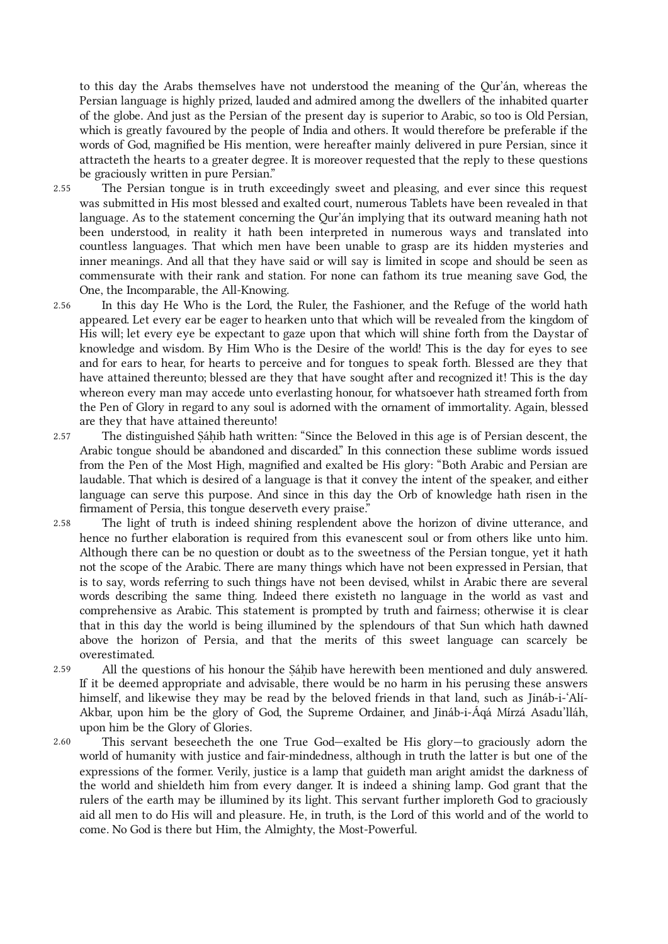to this day the Arabs themselves have not understood the meaning of the Qur'án, whereas the Persian language is highly prized, lauded and admired among the dwellers of the inhabited quarter of the globe. And just as the Persian of the present day is superior to Arabic, so too is Old Persian, which is greatly favoured by the people of India and others. It would therefore be preferable if the words of God, magnified be His mention, were hereafter mainly delivered in pure Persian, since it attracteth the hearts to a greater degree. It is moreover requested that the reply to these questions be graciously written in pure Persian."

- The Persian tongue is in truth exceedingly sweet and pleasing, and ever since this request was submitted in His most blessed and exalted court, numerous Tablets have been revealed in that language. As to the statement concerning the Qur'án implying that its outward meaning hath not been understood, in reality it hath been interpreted in numerous ways and translated into countless languages. That which men have been unable to grasp are its hidden mysteries and inner meanings. And all that they have said or will say is limited in scope and should be seen as commensurate with their rank and station. For none can fathom its true meaning save God, the One, the Incomparable, the All-Knowing. 2.55
- In this day He Who is the Lord, the Ruler, the Fashioner, and the Refuge of the world hath appeared. Let every ear be eager to hearken unto that which will be revealed from the kingdom of His will; let every eye be expectant to gaze upon that which will shine forth from the Daystar of knowledge and wisdom. By Him Who is the Desire of the world! This is the day for eyes to see and for ears to hear, for hearts to perceive and for tongues to speak forth. Blessed are they that have attained thereunto; blessed are they that have sought after and recognized it! This is the day whereon every man may accede unto everlasting honour, for whatsoever hath streamed forth from the Pen of Glory in regard to any soul is adorned with the ornament of immortality. Again, blessed are they that have attained thereunto! 2.56
- The distinguished Ṣáḥib hath written: "Since the Beloved in this age is of Persian descent, the Arabic tongue should be abandoned and discarded." In this connection these sublime words issued from the Pen of the Most High, magnified and exalted be His glory: "Both Arabic and Persian are laudable. That which is desired of a language is that it convey the intent of the speaker, and either language can serve this purpose. And since in this day the Orb of knowledge hath risen in the firmament of Persia, this tongue deserveth every praise." 2.57
- The light of truth is indeed shining resplendent above the horizon of divine utterance, and hence no further elaboration is required from this evanescent soul or from others like unto him. Although there can be no question or doubt as to the sweetness of the Persian tongue, yet it hath not the scope of the Arabic. There are many things which have not been expressed in Persian, that is to say, words referring to such things have not been devised, whilst in Arabic there are several words describing the same thing. Indeed there existeth no language in the world as vast and comprehensive as Arabic. This statement is prompted by truth and fairness; otherwise it is clear that in this day the world is being illumined by the splendours of that Sun which hath dawned above the horizon of Persia, and that the merits of this sweet language can scarcely be overestimated. 2.58
- All the questions of his honour the Sáhib have herewith been mentioned and duly answered. If it be deemed appropriate and advisable, there would be no harm in his perusing these answers himself, and likewise they may be read by the beloved friends in that land, such as Jináb-i-'Alí-Akbar, upon him be the glory of God, the Supreme Ordainer, and Jináb-i-Áqá Mírzá Asadu'lláh, upon him be the Glory of Glories.  $2.59$
- This servant beseecheth the one True God—exalted be His glory—to graciously adorn the world of humanity with justice and fair-mindedness, although in truth the latter is but one of the expressions of the former. Verily, justice is a lamp that guideth man aright amidst the darkness of the world and shieldeth him from every danger. It is indeed a shining lamp. God grant that the rulers of the earth may be illumined by its light. This servant further imploreth God to graciously aid all men to do His will and pleasure. He, in truth, is the Lord of this world and of the world to come. No God is there but Him, the Almighty, the Most-Powerful. 2.60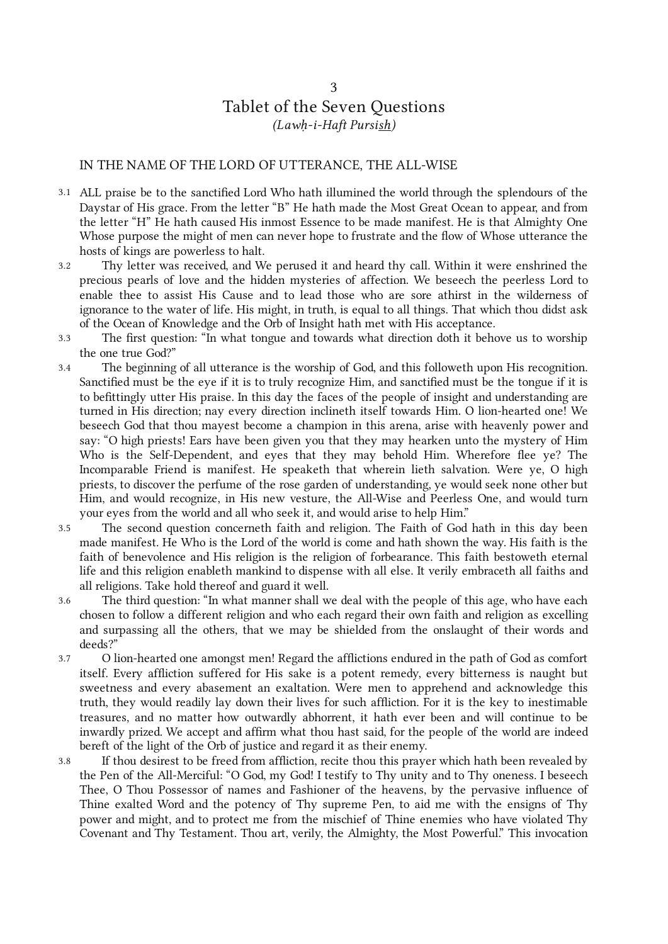# <span id="page-15-0"></span>Tablet of the Seven Questions (Lawḥ-i-Haft Pursish)

### IN THE NAME OF THE LORD OF UTTERANCE, THE ALL-WISE

- ALL praise be to the sanctified Lord Who hath illumined the world through the splendours of the 3.1 Daystar of His grace. From the letter "B" He hath made the Most Great Ocean to appear, and from the letter "H" He hath caused His inmost Essence to be made manifest. He is that Almighty One Whose purpose the might of men can never hope to frustrate and the flow of Whose utterance the hosts of kings are powerless to halt.
- Thy letter was received, and We perused it and heard thy call. Within it were enshrined the precious pearls of love and the hidden mysteries of affection. We beseech the peerless Lord to enable thee to assist His Cause and to lead those who are sore athirst in the wilderness of ignorance to the water of life. His might, in truth, is equal to all things. That which thou didst ask of the Ocean of Knowledge and the Orb of Insight hath met with His acceptance. 3.2
- The first question: "In what tongue and towards what direction doth it behove us to worship the one true God?" 3.3
- The beginning of all utterance is the worship of God, and this followeth upon His recognition. Sanctified must be the eye if it is to truly recognize Him, and sanctified must be the tongue if it is to befittingly utter His praise. In this day the faces of the people of insight and understanding are turned in His direction; nay every direction inclineth itself towards Him. O lion-hearted one! We beseech God that thou mayest become a champion in this arena, arise with heavenly power and say: "O high priests! Ears have been given you that they may hearken unto the mystery of Him Who is the Self-Dependent, and eyes that they may behold Him. Wherefore flee ye? The Incomparable Friend is manifest. He speaketh that wherein lieth salvation. Were ye, O high priests, to discover the perfume of the rose garden of understanding, ye would seek none other but Him, and would recognize, in His new vesture, the All-Wise and Peerless One, and would turn your eyes from the world and all who seek it, and would arise to help Him." 3.4
- The second question concerneth faith and religion. The Faith of God hath in this day been made manifest. He Who is the Lord of the world is come and hath shown the way. His faith is the faith of benevolence and His religion is the religion of forbearance. This faith bestoweth eternal life and this religion enableth mankind to dispense with all else. It verily embraceth all faiths and all religions. Take hold thereof and guard it well. 3.5
- The third question: "In what manner shall we deal with the people of this age, who have each chosen to follow a different religion and who each regard their own faith and religion as excelling and surpassing all the others, that we may be shielded from the onslaught of their words and deeds?" 3.6
- O lion-hearted one amongst men! Regard the afflictions endured in the path of God as comfort itself. Every affliction suffered for His sake is a potent remedy, every bitterness is naught but sweetness and every abasement an exaltation. Were men to apprehend and acknowledge this truth, they would readily lay down their lives for such affliction. For it is the key to inestimable treasures, and no matter how outwardly abhorrent, it hath ever been and will continue to be inwardly prized. We accept and affirm what thou hast said, for the people of the world are indeed bereft of the light of the Orb of justice and regard it as their enemy. 3.7
- If thou desirest to be freed from affliction, recite thou this prayer which hath been revealed by the Pen of the All-Merciful: "O God, my God! I testify to Thy unity and to Thy oneness. I beseech Thee, O Thou Possessor of names and Fashioner of the heavens, by the pervasive influence of Thine exalted Word and the potency of Thy supreme Pen, to aid me with the ensigns of Thy power and might, and to protect me from the mischief of Thine enemies who have violated Thy Covenant and Thy Testament. Thou art, verily, the Almighty, the Most Powerful." This invocation 3.8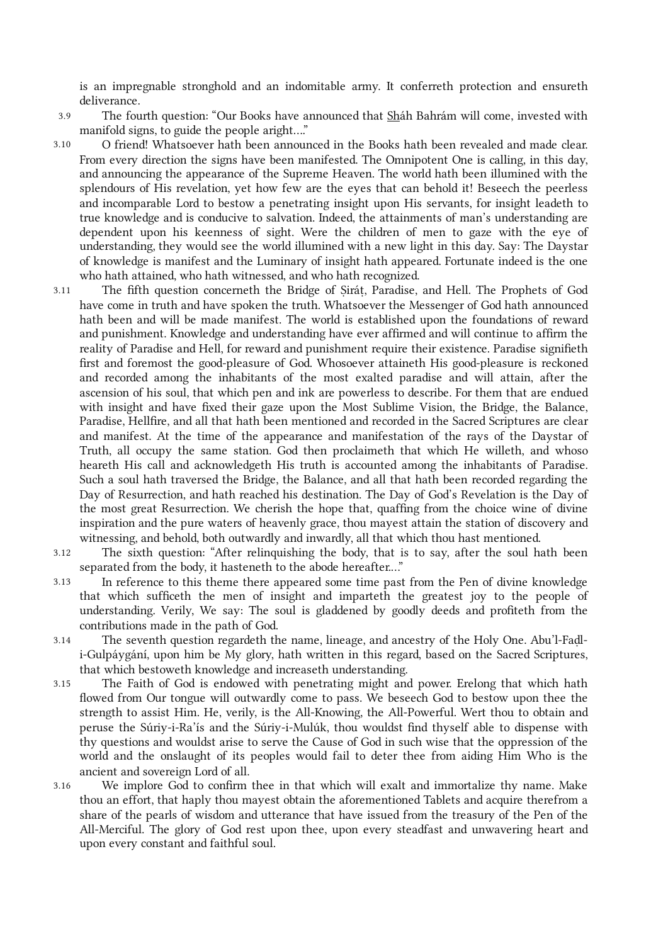is an impregnable stronghold and an indomitable army. It conferreth protection and ensureth deliverance.

The fourth question: "Our Books have announced that Shah Bahram will come, invested with manifold signs, to guide the people aright…." 3.9

- O friend! Whatsoever hath been announced in the Books hath been revealed and made clear. From every direction the signs have been manifested. The Omnipotent One is calling, in this day, and announcing the appearance of the Supreme Heaven. The world hath been illumined with the splendours of His revelation, yet how few are the eyes that can behold it! Beseech the peerless and incomparable Lord to bestow a penetrating insight upon His servants, for insight leadeth to true knowledge and is conducive to salvation. Indeed, the attainments of man's understanding are dependent upon his keenness of sight. Were the children of men to gaze with the eye of understanding, they would see the world illumined with a new light in this day. Say: The Daystar of knowledge is manifest and the Luminary of insight hath appeared. Fortunate indeed is the one who hath attained, who hath witnessed, and who hath recognized. 3.10
- The fifth question concerneth the Bridge of Ṣiráṭ, Paradise, and Hell. The Prophets of God have come in truth and have spoken the truth. Whatsoever the Messenger of God hath announced hath been and will be made manifest. The world is established upon the foundations of reward and punishment. Knowledge and understanding have ever affirmed and will continue to affirm the reality of Paradise and Hell, for reward and punishment require their existence. Paradise signifieth first and foremost the good-pleasure of God. Whosoever attaineth His good-pleasure is reckoned and recorded among the inhabitants of the most exalted paradise and will attain, after the ascension of his soul, that which pen and ink are powerless to describe. For them that are endued with insight and have fixed their gaze upon the Most Sublime Vision, the Bridge, the Balance, Paradise, Hellfire, and all that hath been mentioned and recorded in the Sacred Scriptures are clear and manifest. At the time of the appearance and manifestation of the rays of the Daystar of Truth, all occupy the same station. God then proclaimeth that which He willeth, and whoso heareth His call and acknowledgeth His truth is accounted among the inhabitants of Paradise. Such a soul hath traversed the Bridge, the Balance, and all that hath been recorded regarding the Day of Resurrection, and hath reached his destination. The Day of God's Revelation is the Day of the most great Resurrection. We cherish the hope that, quaffing from the choice wine of divine inspiration and the pure waters of heavenly grace, thou mayest attain the station of discovery and witnessing, and behold, both outwardly and inwardly, all that which thou hast mentioned. 3.11
- The sixth question: "After relinquishing the body, that is to say, after the soul hath been separated from the body, it hasteneth to the abode hereafter.…" 3.12
- In reference to this theme there appeared some time past from the Pen of divine knowledge that which sufficeth the men of insight and imparteth the greatest joy to the people of understanding. Verily, We say: The soul is gladdened by goodly deeds and profiteth from the contributions made in the path of God. 3.13
- The seventh question regardeth the name, lineage, and ancestry of the Holy One. Abu'l-Faḍli-Gulpáygání, upon him be My glory, hath written in this regard, based on the Sacred Scriptures, that which bestoweth knowledge and increaseth understanding. 3.14
- The Faith of God is endowed with penetrating might and power. Erelong that which hath flowed from Our tongue will outwardly come to pass. We beseech God to bestow upon thee the strength to assist Him. He, verily, is the All-Knowing, the All-Powerful. Wert thou to obtain and peruse the Súriy-i-Ra'ís and the Súriy-i-Mulúk, thou wouldst find thyself able to dispense with thy questions and wouldst arise to serve the Cause of God in such wise that the oppression of the world and the onslaught of its peoples would fail to deter thee from aiding Him Who is the ancient and sovereign Lord of all. 3.15
- We implore God to confirm thee in that which will exalt and immortalize thy name. Make thou an effort, that haply thou mayest obtain the aforementioned Tablets and acquire therefrom a share of the pearls of wisdom and utterance that have issued from the treasury of the Pen of the All-Merciful. The glory of God rest upon thee, upon every steadfast and unwavering heart and upon every constant and faithful soul. 3.16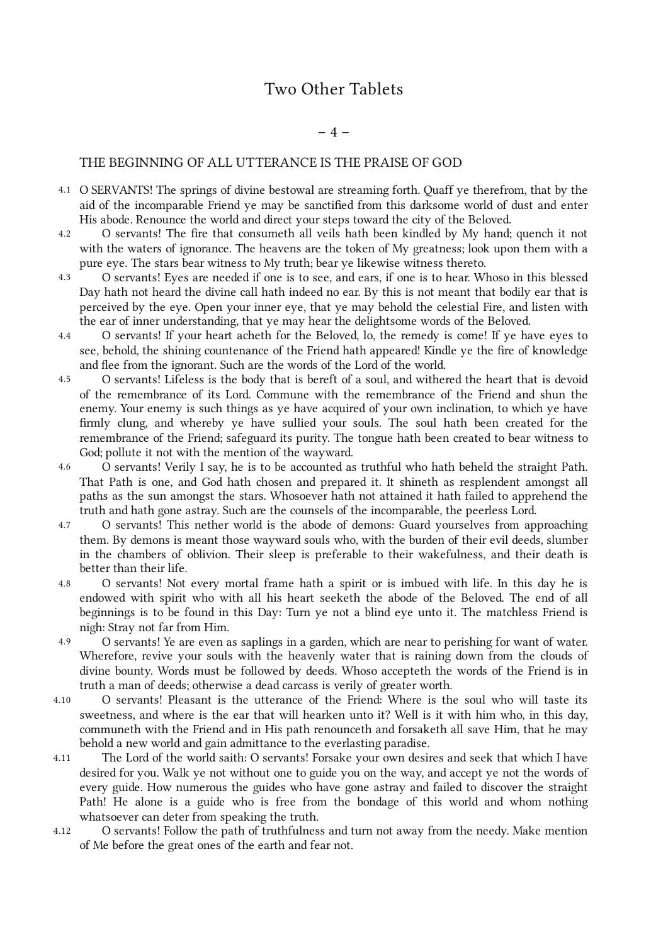# <span id="page-17-0"></span>Two Other Tablets

### $-4-$

### THE BEGINNING OF ALL UTTERANCE IS THE PRAISE OF GOD

- O SERVANTS! The springs of divine bestowal are streaming forth. Quaff ye therefrom, that by the 4.1 aid of the incomparable Friend ye may be sanctified from this darksome world of dust and enter His abode. Renounce the world and direct your steps toward the city of the Beloved.
- O servants! The fire that consumeth all veils hath been kindled by My hand; quench it not with the waters of ignorance. The heavens are the token of My greatness; look upon them with a pure eye. The stars bear witness to My truth; bear ye likewise witness thereto. 4.2
- O servants! Eyes are needed if one is to see, and ears, if one is to hear. Whoso in this blessed Day hath not heard the divine call hath indeed no ear. By this is not meant that bodily ear that is perceived by the eye. Open your inner eye, that ye may behold the celestial Fire, and listen with the ear of inner understanding, that ye may hear the delightsome words of the Beloved. 4.3
- O servants! If your heart acheth for the Beloved, lo, the remedy is come! If ye have eyes to see, behold, the shining countenance of the Friend hath appeared! Kindle ye the fire of knowledge and flee from the ignorant. Such are the words of the Lord of the world. 4.4
- O servants! Lifeless is the body that is bereft of a soul, and withered the heart that is devoid of the remembrance of its Lord. Commune with the remembrance of the Friend and shun the enemy. Your enemy is such things as ye have acquired of your own inclination, to which ye have firmly clung, and whereby ye have sullied your souls. The soul hath been created for the remembrance of the Friend; safeguard its purity. The tongue hath been created to bear witness to God; pollute it not with the mention of the wayward. 4.5
- O servants! Verily I say, he is to be accounted as truthful who hath beheld the straight Path. That Path is one, and God hath chosen and prepared it. It shineth as resplendent amongst all paths as the sun amongst the stars. Whosoever hath not attained it hath failed to apprehend the truth and hath gone astray. Such are the counsels of the incomparable, the peerless Lord. 4.6
- O servants! This nether world is the abode of demons: Guard yourselves from approaching them. By demons is meant those wayward souls who, with the burden of their evil deeds, slumber in the chambers of oblivion. Their sleep is preferable to their wakefulness, and their death is better than their life. 4.7
- O servants! Not every mortal frame hath a spirit or is imbued with life. In this day he is endowed with spirit who with all his heart seeketh the abode of the Beloved. The end of all beginnings is to be found in this Day: Turn ye not a blind eye unto it. The matchless Friend is nigh: Stray not far from Him. 4.8
- O servants! Ye are even as saplings in a garden, which are near to perishing for want of water. Wherefore, revive your souls with the heavenly water that is raining down from the clouds of divine bounty. Words must be followed by deeds. Whoso accepteth the words of the Friend is in truth a man of deeds; otherwise a dead carcass is verily of greater worth. 4.9
- O servants! Pleasant is the utterance of the Friend: Where is the soul who will taste its sweetness, and where is the ear that will hearken unto it? Well is it with him who, in this day, communeth with the Friend and in His path renounceth and forsaketh all save Him, that he may behold a new world and gain admittance to the everlasting paradise. 4.10
- The Lord of the world saith: O servants! Forsake your own desires and seek that which I have desired for you. Walk ye not without one to guide you on the way, and accept ye not the words of every guide. How numerous the guides who have gone astray and failed to discover the straight Path! He alone is a guide who is free from the bondage of this world and whom nothing whatsoever can deter from speaking the truth. 4.11
- O servants! Follow the path of truthfulness and turn not away from the needy. Make mention of Me before the great ones of the earth and fear not. 4.12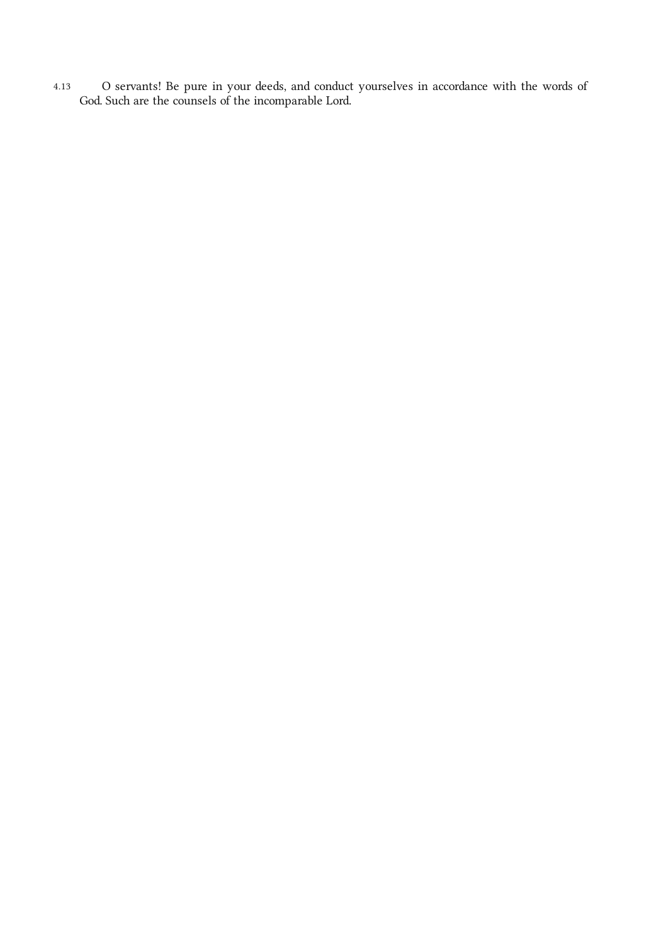O servants! Be pure in your deeds, and conduct yourselves in accordance with the words of God. Such are the counsels of the incomparable Lord. 4.13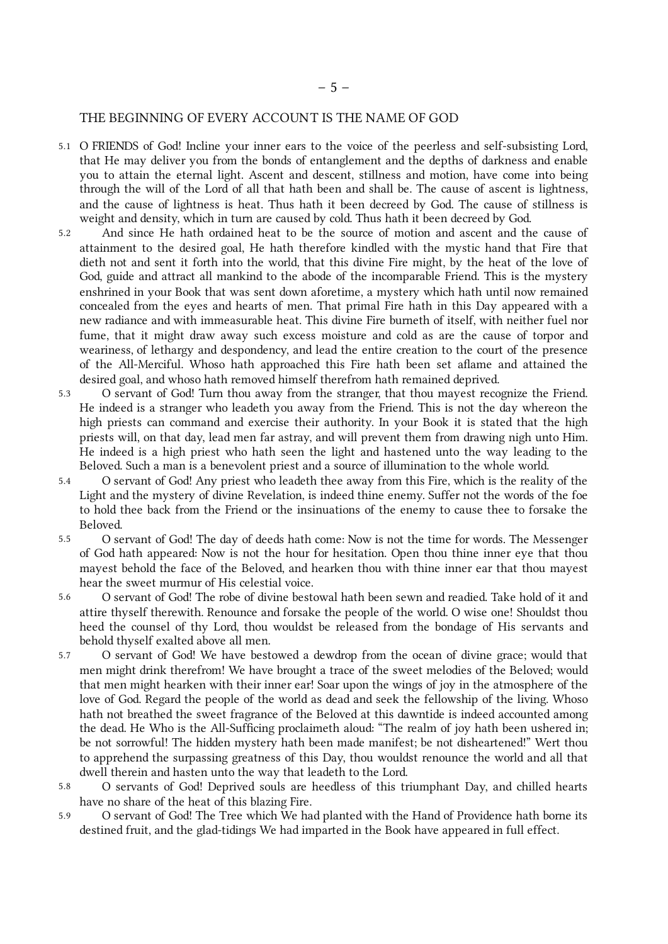### THE BEGINNING OF EVERY ACCOUNT IS THE NAME OF GOD

- O FRIENDS of God! Incline your inner ears to the voice of the peerless and self-subsisting Lord, 5.1 that He may deliver you from the bonds of entanglement and the depths of darkness and enable you to attain the eternal light. Ascent and descent, stillness and motion, have come into being through the will of the Lord of all that hath been and shall be. The cause of ascent is lightness, and the cause of lightness is heat. Thus hath it been decreed by God. The cause of stillness is weight and density, which in turn are caused by cold. Thus hath it been decreed by God.
- And since He hath ordained heat to be the source of motion and ascent and the cause of attainment to the desired goal, He hath therefore kindled with the mystic hand that Fire that dieth not and sent it forth into the world, that this divine Fire might, by the heat of the love of God, guide and attract all mankind to the abode of the incomparable Friend. This is the mystery enshrined in your Book that was sent down aforetime, a mystery which hath until now remained concealed from the eyes and hearts of men. That primal Fire hath in this Day appeared with a new radiance and with immeasurable heat. This divine Fire burneth of itself, with neither fuel nor fume, that it might draw away such excess moisture and cold as are the cause of torpor and weariness, of lethargy and despondency, and lead the entire creation to the court of the presence of the All-Merciful. Whoso hath approached this Fire hath been set aflame and attained the desired goal, and whoso hath removed himself therefrom hath remained deprived. 5.2
- O servant of God! Turn thou away from the stranger, that thou mayest recognize the Friend. He indeed is a stranger who leadeth you away from the Friend. This is not the day whereon the high priests can command and exercise their authority. In your Book it is stated that the high priests will, on that day, lead men far astray, and will prevent them from drawing nigh unto Him. He indeed is a high priest who hath seen the light and hastened unto the way leading to the Beloved. Such a man is a benevolent priest and a source of illumination to the whole world. 5.3
- O servant of God! Any priest who leadeth thee away from this Fire, which is the reality of the Light and the mystery of divine Revelation, is indeed thine enemy. Suffer not the words of the foe to hold thee back from the Friend or the insinuations of the enemy to cause thee to forsake the Beloved. 5.4
- O servant of God! The day of deeds hath come: Now is not the time for words. The Messenger of God hath appeared: Now is not the hour for hesitation. Open thou thine inner eye that thou mayest behold the face of the Beloved, and hearken thou with thine inner ear that thou mayest hear the sweet murmur of His celestial voice. 5.5
- O servant of God! The robe of divine bestowal hath been sewn and readied. Take hold of it and attire thyself therewith. Renounce and forsake the people of the world. O wise one! Shouldst thou heed the counsel of thy Lord, thou wouldst be released from the bondage of His servants and behold thyself exalted above all men. 5.6
- O servant of God! We have bestowed a dewdrop from the ocean of divine grace; would that men might drink therefrom! We have brought a trace of the sweet melodies of the Beloved; would that men might hearken with their inner ear! Soar upon the wings of joy in the atmosphere of the love of God. Regard the people of the world as dead and seek the fellowship of the living. Whoso hath not breathed the sweet fragrance of the Beloved at this dawntide is indeed accounted among the dead. He Who is the All-Sufficing proclaimeth aloud: "The realm of joy hath been ushered in; be not sorrowful! The hidden mystery hath been made manifest; be not disheartened!" Wert thou to apprehend the surpassing greatness of this Day, thou wouldst renounce the world and all that dwell therein and hasten unto the way that leadeth to the Lord. 5.7
- O servants of God! Deprived souls are heedless of this triumphant Day, and chilled hearts have no share of the heat of this blazing Fire. 5.8
- O servant of God! The Tree which We had planted with the Hand of Providence hath borne its destined fruit, and the glad-tidings We had imparted in the Book have appeared in full effect. 5.9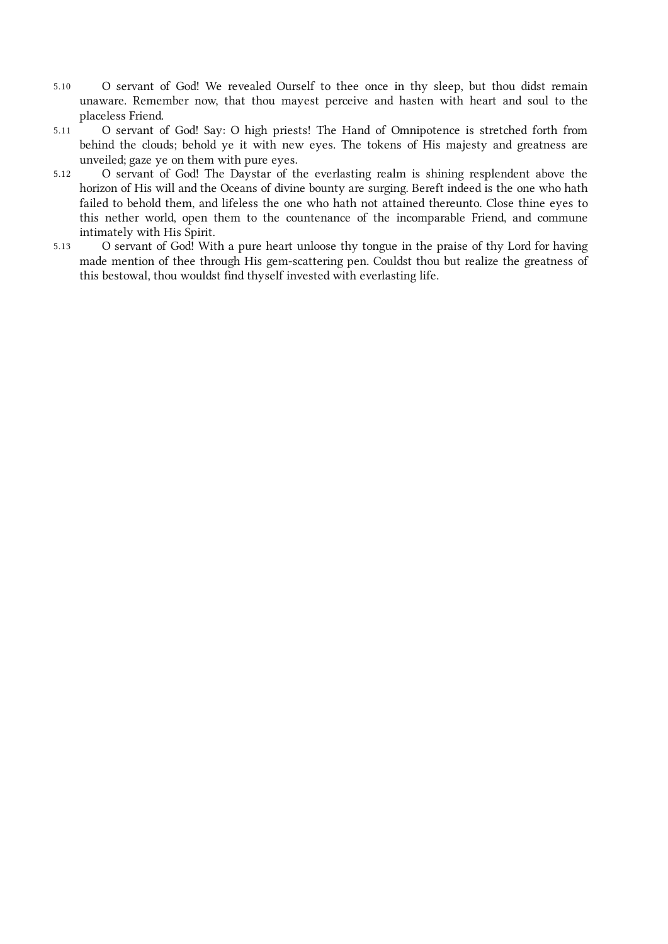- O servant of God! We revealed Ourself to thee once in thy sleep, but thou didst remain unaware. Remember now, that thou mayest perceive and hasten with heart and soul to the placeless Friend. 5.10
- O servant of God! Say: O high priests! The Hand of Omnipotence is stretched forth from behind the clouds; behold ye it with new eyes. The tokens of His majesty and greatness are unveiled; gaze ye on them with pure eyes. 5.11
- O servant of God! The Daystar of the everlasting realm is shining resplendent above the horizon of His will and the Oceans of divine bounty are surging. Bereft indeed is the one who hath failed to behold them, and lifeless the one who hath not attained thereunto. Close thine eyes to this nether world, open them to the countenance of the incomparable Friend, and commune intimately with His Spirit. 5.12
- O servant of God! With a pure heart unloose thy tongue in the praise of thy Lord for having made mention of thee through His gem-scattering pen. Couldst thou but realize the greatness of this bestowal, thou wouldst find thyself invested with everlasting life. 5.13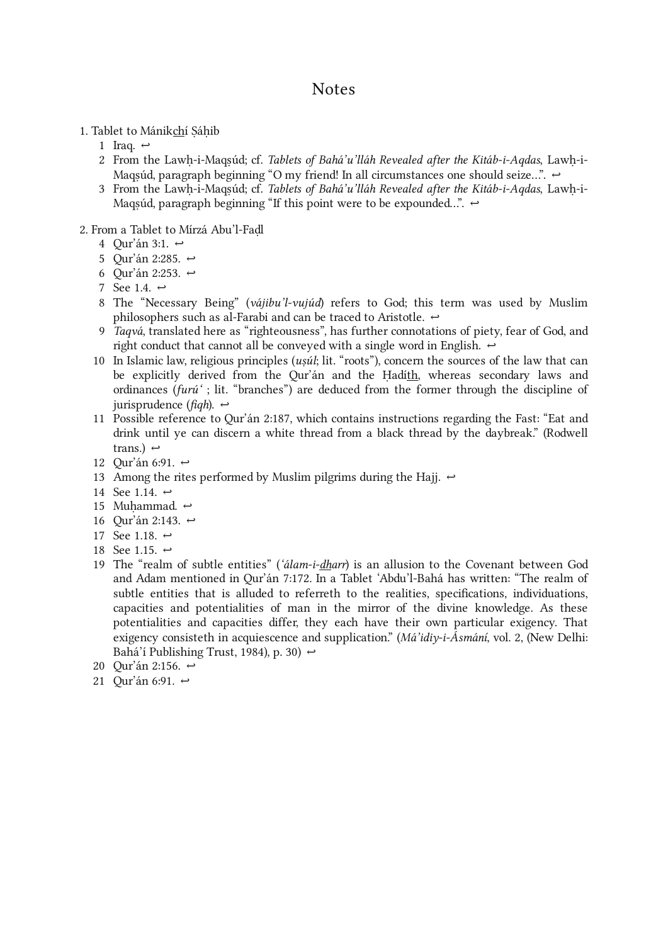## <span id="page-21-0"></span>Notes

- <span id="page-21-2"></span><span id="page-21-1"></span>1. Tablet to Mánikchí Sáhib
	- 1 Iraq.  $\leftrightarrow$
	- 2 From the Lawh-i-Maqṣúd; cf. Tablets of Bahá'u'lláh Revealed after the Kitáb-i-Aqdas, Lawḥ-i-Maqsúd, paragraph beginning "O my friend! In all circumstances one should seize...".  $\leftrightarrow$
	- 3 From the Lawḥ-i-Maqṣúd; cf. *Tablets of Bahá'u'lláh Revealed after the Kitáb-i-Aqdas*, Lawḥ-i-Maqsúd, paragraph beginning "If this point were to be expounded...".  $\leftrightarrow$
- <span id="page-21-21"></span><span id="page-21-20"></span><span id="page-21-19"></span><span id="page-21-18"></span><span id="page-21-17"></span><span id="page-21-16"></span><span id="page-21-15"></span><span id="page-21-14"></span><span id="page-21-13"></span><span id="page-21-12"></span><span id="page-21-11"></span><span id="page-21-10"></span><span id="page-21-9"></span><span id="page-21-8"></span><span id="page-21-7"></span><span id="page-21-6"></span><span id="page-21-5"></span><span id="page-21-4"></span><span id="page-21-3"></span>2. From a Tablet to Mírzá Abu'l-Faḍl
	- Qur'án 3:1. [↩](#page-5-1) 4
	- Qur'án 2:285. [↩](#page-5-2) 5
	- 6 Qur'án 2:253.  $\leftrightarrow$
	- 7 See 1.4.  $\leftrightarrow$
	- 8 The "Necessary Being" (*vájibu'l-vujúd*) refers to God; this term was used by Muslim philosophers such as al-Farabi and can be traced to Aristotle.  $\leftrightarrow$
	- Taqvá, translated here as "righteousness", has further connotations of piety, fear of God, and 9 right conduct that cannot all be conveyed with a single word in English.  $\leftrightarrow$
	- 10 In Islamic law, religious principles (uṣúl; lit. "roots"), concern the sources of the law that can be explicitly derived from the Qur'án and the Ḥadíth, whereas secondary laws and ordinances (furú' ; lit. "branches") are deduced from the former through the discipline of jurisprudence (fiqh).  $\leftrightarrow$
	- Possible reference to Qur'án 2:187, which contains instructions regarding the Fast: "Eat and 11 drink until ye can discern a white thread from a black thread by the daybreak." (Rodwell trans.)  $\leftrightarrow$
	- 12 Qur'án 6:91.  $\leftrightarrow$
	- 13 Among the rites performed by Muslim pilgrims during the Hajj.  $\leftrightarrow$
	- 14 See 1.14.  $\leftrightarrow$
	- 15 Muḥammad.  $\leftrightarrow$
	- 16 Qur'án 2:143.  $\leftrightarrow$
	- 17 See 1.18.  $\leftrightarrow$
	- 18 See 1.15.  $\leftrightarrow$
	- 19 The "realm of subtle entities" (*'alam-i-<u>dh</u>arr*) is an allusion to the Covenant between God and Adam mentioned in Qur'án 7:172. In a Tablet 'Abdu'l‑Bahá has written: "The realm of subtle entities that is alluded to referreth to the realities, specifications, individuations, capacities and potentialities of man in the mirror of the divine knowledge. As these potentialities and capacities differ, they each have their own particular exigency. That exigency consisteth in acquiescence and supplication." (Má'idiy-i-Ásmání, vol. 2, (New Delhi: Bahá'í Publishing Trust, 1984), p. 30)  $\leftrightarrow$
	- Qur'án 2:156. [↩](#page-13-1) 20
	- Qur'án 6:91. [↩](#page-13-2) 21